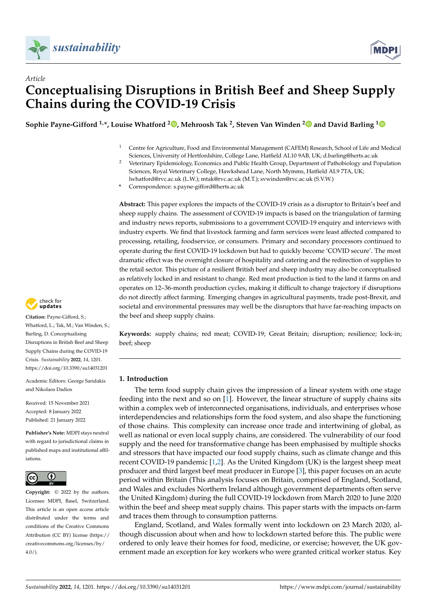



# *Article* **Conceptualising Disruptions in British Beef and Sheep Supply Chains during the COVID-19 Crisis**

**Sophie Payne-Gifford 1,\*, Louise Whatford <sup>2</sup> [,](https://orcid.org/0000-0001-9725-8291) Mehroosh Tak <sup>2</sup> , Steven Van Winden [2](https://orcid.org/0000-0002-7321-4996) and David Barling [1](https://orcid.org/0000-0002-5996-4942)**

- <sup>1</sup> Centre for Agriculture, Food and Environmental Management (CAFEM) Research, School of Life and Medical Sciences, University of Hertfordshire, College Lane, Hatfield AL10 9AB, UK; d.barling@herts.ac.uk
- <sup>2</sup> Veterinary Epidemiology, Economics and Public Health Group, Department of Pathobiology and Population Sciences, Royal Veterinary College, Hawkshead Lane, North Mymms, Hatfield AL9 7TA, UK; lwhatford@rvc.ac.uk (L.W.); mtak@rvc.ac.uk (M.T.); svwinden@rvc.ac.uk (S.V.W.)
- **\*** Correspondence: s.payne-gifford@herts.ac.uk

**Abstract:** This paper explores the impacts of the COVID-19 crisis as a disruptor to Britain's beef and sheep supply chains. The assessment of COVID-19 impacts is based on the triangulation of farming and industry news reports, submissions to a government COVID-19 enquiry and interviews with industry experts. We find that livestock farming and farm services were least affected compared to processing, retailing, foodservice, or consumers. Primary and secondary processors continued to operate during the first COVID-19 lockdown but had to quickly become 'COVID secure'. The most dramatic effect was the overnight closure of hospitality and catering and the redirection of supplies to the retail sector. This picture of a resilient British beef and sheep industry may also be conceptualised as relatively locked in and resistant to change. Red meat production is tied to the land it farms on and operates on 12–36-month production cycles, making it difficult to change trajectory if disruptions do not directly affect farming. Emerging changes in agricultural payments, trade post-Brexit, and societal and environmental pressures may well be the disruptors that have far-reaching impacts on the beef and sheep supply chains.

**Keywords:** supply chains; red meat; COVID-19; Great Britain; disruption; resilience; lock-in; beef; sheep

# **1. Introduction**

The term food supply chain gives the impression of a linear system with one stage feeding into the next and so on [\[1\]](#page-17-0). However, the linear structure of supply chains sits within a complex web of interconnected organisations, individuals, and enterprises whose interdependencies and relationships form the food system, and also shape the functioning of those chains. This complexity can increase once trade and intertwining of global, as well as national or even local supply chains, are considered. The vulnerability of our food supply and the need for transformative change has been emphasised by multiple shocks and stressors that have impacted our food supply chains, such as climate change and this recent COVID-19 pandemic [\[1](#page-17-0)[,2\]](#page-17-1). As the United Kingdom (UK) is the largest sheep meat producer and third largest beef meat producer in Europe [\[3\]](#page-17-2), this paper focuses on an acute period within Britain (This analysis focuses on Britain, comprised of England, Scotland, and Wales and excludes Northern Ireland although government departments often serve the United Kingdom) during the full COVID-19 lockdown from March 2020 to June 2020 within the beef and sheep meat supply chains. This paper starts with the impacts on-farm and traces them through to consumption patterns.

England, Scotland, and Wales formally went into lockdown on 23 March 2020, although discussion about when and how to lockdown started before this. The public were ordered to only leave their homes for food, medicine, or exercise; however, the UK government made an exception for key workers who were granted critical worker status. Key



**Citation:** Payne-Gifford, S.; Whatford, L.; Tak, M.; Van Winden, S.; Barling, D. Conceptualising Disruptions in British Beef and Sheep Supply Chains during the COVID-19 Crisis. *Sustainability* **2022**, *14*, 1201. <https://doi.org/10.3390/su14031201>

Academic Editors: George Saridakis and Nikolaos Dadios

Received: 15 November 2021 Accepted: 8 January 2022 Published: 21 January 2022

**Publisher's Note:** MDPI stays neutral with regard to jurisdictional claims in published maps and institutional affiliations.



**Copyright:** © 2022 by the authors. Licensee MDPI, Basel, Switzerland. This article is an open access article distributed under the terms and conditions of the Creative Commons Attribution (CC BY) license [\(https://](https://creativecommons.org/licenses/by/4.0/) [creativecommons.org/licenses/by/](https://creativecommons.org/licenses/by/4.0/)  $4.0/$ ).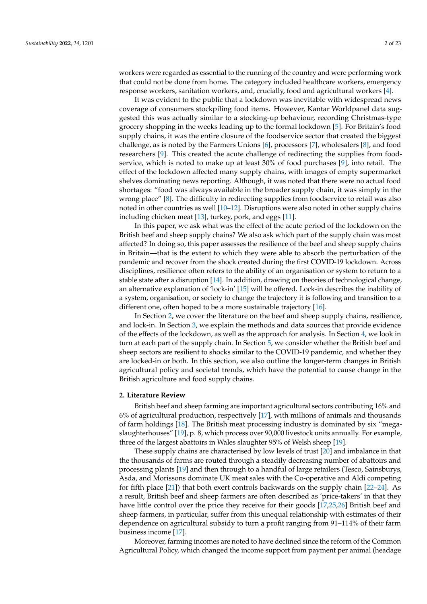workers were regarded as essential to the running of the country and were performing work that could not be done from home. The category included healthcare workers, emergency response workers, sanitation workers, and, crucially, food and agricultural workers [\[4\]](#page-17-3).

It was evident to the public that a lockdown was inevitable with widespread news coverage of consumers stockpiling food items. However, Kantar Worldpanel data suggested this was actually similar to a stocking-up behaviour, recording Christmas-type grocery shopping in the weeks leading up to the formal lockdown [\[5\]](#page-17-4). For Britain's food supply chains, it was the entire closure of the foodservice sector that created the biggest challenge, as is noted by the Farmers Unions [\[6\]](#page-17-5), processors [\[7\]](#page-17-6), wholesalers [\[8\]](#page-17-7), and food researchers [\[9\]](#page-17-8). This created the acute challenge of redirecting the supplies from foodservice, which is noted to make up at least 30% of food purchases [\[9\]](#page-17-8), into retail. The effect of the lockdown affected many supply chains, with images of empty supermarket shelves dominating news reporting. Although, it was noted that there were no actual food shortages: "food was always available in the broader supply chain, it was simply in the wrong place" [\[8\]](#page-17-7). The difficulty in redirecting supplies from foodservice to retail was also noted in other countries as well [\[10–](#page-18-0)[12\]](#page-18-1). Disruptions were also noted in other supply chains including chicken meat [\[13\]](#page-18-2), turkey, pork, and eggs [\[11\]](#page-18-3).

In this paper, we ask what was the effect of the acute period of the lockdown on the British beef and sheep supply chains? We also ask which part of the supply chain was most affected? In doing so, this paper assesses the resilience of the beef and sheep supply chains in Britain—that is the extent to which they were able to absorb the perturbation of the pandemic and recover from the shock created during the first COVID-19 lockdown. Across disciplines, resilience often refers to the ability of an organisation or system to return to a stable state after a disruption [\[14\]](#page-18-4). In addition, drawing on theories of technological change, an alternative explanation of 'lock-in' [\[15\]](#page-18-5) will be offered. Lock-in describes the inability of a system, organisation, or society to change the trajectory it is following and transition to a different one, often hoped to be a more sustainable trajectory [\[16\]](#page-18-6).

In Section [2,](#page-1-0) we cover the literature on the beef and sheep supply chains, resilience, and lock-in. In Section [3,](#page-3-0) we explain the methods and data sources that provide evidence of the effects of the lockdown, as well as the approach for analysis. In Section [4,](#page-5-0) we look in turn at each part of the supply chain. In Section [5,](#page-13-0) we consider whether the British beef and sheep sectors are resilient to shocks similar to the COVID-19 pandemic, and whether they are locked-in or both. In this section, we also outline the longer-term changes in British agricultural policy and societal trends, which have the potential to cause change in the British agriculture and food supply chains.

# <span id="page-1-0"></span>**2. Literature Review**

British beef and sheep farming are important agricultural sectors contributing 16% and 6% of agricultural production, respectively [\[17\]](#page-18-7), with millions of animals and thousands of farm holdings [\[18\]](#page-18-8). The British meat processing industry is dominated by six "megaslaughterhouses" [\[19\]](#page-18-9), p. 8, which process over 90,000 livestock units annually. For example, three of the largest abattoirs in Wales slaughter 95% of Welsh sheep [\[19\]](#page-18-9).

These supply chains are characterised by low levels of trust [\[20\]](#page-18-10) and imbalance in that the thousands of farms are routed through a steadily decreasing number of abattoirs and processing plants [\[19\]](#page-18-9) and then through to a handful of large retailers (Tesco, Sainsburys, Asda, and Morissons dominate UK meat sales with the Co-operative and Aldi competing for fifth place [\[21\]](#page-18-11)) that both exert controls backwards on the supply chain [\[22](#page-18-12)[–24\]](#page-18-13). As a result, British beef and sheep farmers are often described as 'price-takers' in that they have little control over the price they receive for their goods [\[17,](#page-18-7)[25,](#page-18-14)[26\]](#page-18-15) British beef and sheep farmers, in particular, suffer from this unequal relationship with estimates of their dependence on agricultural subsidy to turn a profit ranging from 91–114% of their farm business income [\[17\]](#page-18-7).

Moreover, farming incomes are noted to have declined since the reform of the Common Agricultural Policy, which changed the income support from payment per animal (headage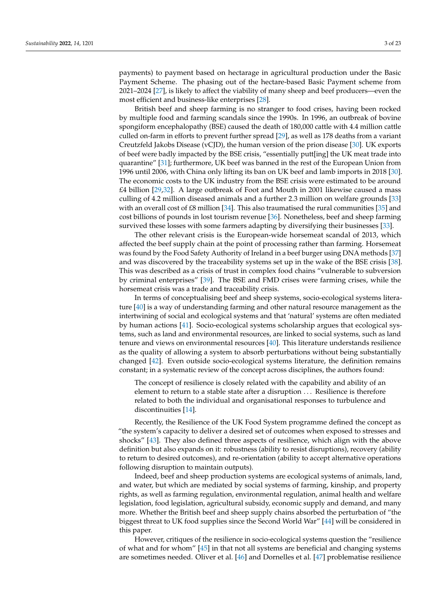payments) to payment based on hectarage in agricultural production under the Basic Payment Scheme. The phasing out of the hectare-based Basic Payment scheme from 2021–2024 [\[27\]](#page-18-16), is likely to affect the viability of many sheep and beef producers—even the most efficient and business-like enterprises [\[28\]](#page-18-17).

British beef and sheep farming is no stranger to food crises, having been rocked by multiple food and farming scandals since the 1990s. In 1996, an outbreak of bovine spongiform encephalopathy (BSE) caused the death of 180,000 cattle with 4.4 million cattle culled on-farm in efforts to prevent further spread [\[29\]](#page-18-18), as well as 178 deaths from a variant Creutzfeld Jakobs Disease (vCJD), the human version of the prion disease [\[30\]](#page-18-19). UK exports of beef were badly impacted by the BSE crisis, "essentially putt[ing] the UK meat trade into quarantine" [\[31\]](#page-18-20); furthermore, UK beef was banned in the rest of the European Union from 1996 until 2006, with China only lifting its ban on UK beef and lamb imports in 2018 [\[30\]](#page-18-19). The economic costs to the UK industry from the BSE crisis were estimated to be around £4 billion [\[29,](#page-18-18)[32\]](#page-18-21). A large outbreak of Foot and Mouth in 2001 likewise caused a mass culling of 4.2 million diseased animals and a further 2.3 million on welfare grounds [\[33\]](#page-18-22) with an overall cost of £8 million [\[34\]](#page-18-23). This also traumatised the rural communities [\[35\]](#page-18-24) and cost billions of pounds in lost tourism revenue [\[36\]](#page-18-25). Nonetheless, beef and sheep farming survived these losses with some farmers adapting by diversifying their businesses [\[33\]](#page-18-22).

The other relevant crisis is the European-wide horsemeat scandal of 2013, which affected the beef supply chain at the point of processing rather than farming. Horsemeat was found by the Food Safety Authority of Ireland in a beef burger using DNA methods [\[37\]](#page-18-26) and was discovered by the traceability systems set up in the wake of the BSE crisis [\[38\]](#page-19-0). This was described as a crisis of trust in complex food chains "vulnerable to subversion by criminal enterprises" [\[39\]](#page-19-1). The BSE and FMD crises were farming crises, while the horsemeat crisis was a trade and traceability crisis.

In terms of conceptualising beef and sheep systems, socio-ecological systems literature [\[40\]](#page-19-2) is a way of understanding farming and other natural resource management as the intertwining of social and ecological systems and that 'natural' systems are often mediated by human actions [\[41\]](#page-19-3). Socio-ecological systems scholarship argues that ecological systems, such as land and environmental resources, are linked to social systems, such as land tenure and views on environmental resources [\[40\]](#page-19-2). This literature understands resilience as the quality of allowing a system to absorb perturbations without being substantially changed [\[42\]](#page-19-4). Even outside socio-ecological systems literature, the definition remains constant; in a systematic review of the concept across disciplines, the authors found:

The concept of resilience is closely related with the capability and ability of an element to return to a stable state after a disruption . . . Resilience is therefore related to both the individual and organisational responses to turbulence and discontinuities [\[14\]](#page-18-4).

Recently, the Resilience of the UK Food System programme defined the concept as "the system's capacity to deliver a desired set of outcomes when exposed to stresses and shocks" [\[43\]](#page-19-5). They also defined three aspects of resilience, which align with the above definition but also expands on it: robustness (ability to resist disruptions), recovery (ability to return to desired outcomes), and re-orientation (ability to accept alternative operations following disruption to maintain outputs).

Indeed, beef and sheep production systems are ecological systems of animals, land, and water, but which are mediated by social systems of farming, kinship, and property rights, as well as farming regulation, environmental regulation, animal health and welfare legislation, food legislation, agricultural subsidy, economic supply and demand, and many more. Whether the British beef and sheep supply chains absorbed the perturbation of "the biggest threat to UK food supplies since the Second World War" [\[44\]](#page-19-6) will be considered in this paper.

However, critiques of the resilience in socio-ecological systems question the "resilience of what and for whom" [\[45\]](#page-19-7) in that not all systems are beneficial and changing systems are sometimes needed. Oliver et al. [\[46\]](#page-19-8) and Dornelles et al. [\[47\]](#page-19-9) problematise resilience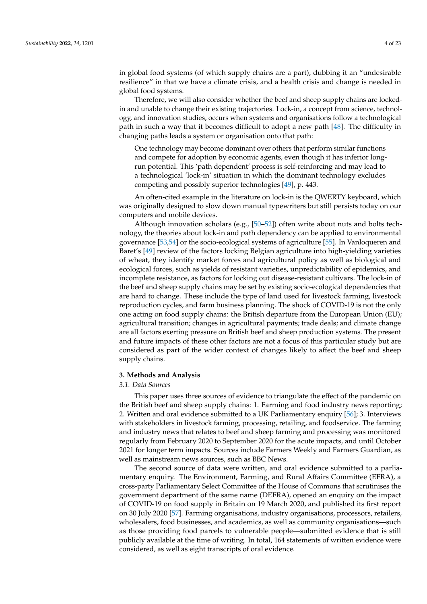in global food systems (of which supply chains are a part), dubbing it an "undesirable resilience" in that we have a climate crisis, and a health crisis and change is needed in global food systems.

Therefore, we will also consider whether the beef and sheep supply chains are lockedin and unable to change their existing trajectories. Lock-in, a concept from science, technology, and innovation studies, occurs when systems and organisations follow a technological path in such a way that it becomes difficult to adopt a new path [\[48\]](#page-19-10). The difficulty in changing paths leads a system or organisation onto that path:

One technology may become dominant over others that perform similar functions and compete for adoption by economic agents, even though it has inferior longrun potential. This 'path dependent' process is self-reinforcing and may lead to a technological 'lock-in' situation in which the dominant technology excludes competing and possibly superior technologies [\[49\]](#page-19-11), p. 443.

An often-cited example in the literature on lock-in is the QWERTY keyboard, which was originally designed to slow down manual typewriters but still persists today on our computers and mobile devices.

Although innovation scholars (e.g., [\[50](#page-19-12)[–52\]](#page-19-13)) often write about nuts and bolts technology, the theories about lock-in and path dependency can be applied to environmental governance [\[53,](#page-19-14)[54\]](#page-19-15) or the socio-ecological systems of agriculture [\[55\]](#page-19-16). In Vanloqueren and Baret's [\[49\]](#page-19-11) review of the factors locking Belgian agriculture into high-yielding varieties of wheat, they identify market forces and agricultural policy as well as biological and ecological forces, such as yields of resistant varieties, unpredictability of epidemics, and incomplete resistance, as factors for locking out disease-resistant cultivars. The lock-in of the beef and sheep supply chains may be set by existing socio-ecological dependencies that are hard to change. These include the type of land used for livestock farming, livestock reproduction cycles, and farm business planning. The shock of COVID-19 is not the only one acting on food supply chains: the British departure from the European Union (EU); agricultural transition; changes in agricultural payments; trade deals; and climate change are all factors exerting pressure on British beef and sheep production systems. The present and future impacts of these other factors are not a focus of this particular study but are considered as part of the wider context of changes likely to affect the beef and sheep supply chains.

#### <span id="page-3-0"></span>**3. Methods and Analysis**

## *3.1. Data Sources*

This paper uses three sources of evidence to triangulate the effect of the pandemic on the British beef and sheep supply chains: 1. Farming and food industry news reporting; 2. Written and oral evidence submitted to a UK Parliamentary enquiry [\[56\]](#page-19-17); 3. Interviews with stakeholders in livestock farming, processing, retailing, and foodservice. The farming and industry news that relates to beef and sheep farming and processing was monitored regularly from February 2020 to September 2020 for the acute impacts, and until October 2021 for longer term impacts. Sources include Farmers Weekly and Farmers Guardian, as well as mainstream news sources, such as BBC News.

The second source of data were written, and oral evidence submitted to a parliamentary enquiry. The Environment, Farming, and Rural Affairs Committee (EFRA), a cross-party Parliamentary Select Committee of the House of Commons that scrutinises the government department of the same name (DEFRA), opened an enquiry on the impact of COVID-19 on food supply in Britain on 19 March 2020, and published its first report on 30 July 2020 [\[57\]](#page-19-18). Farming organisations, industry organisations, processors, retailers, wholesalers, food businesses, and academics, as well as community organisations—such as those providing food parcels to vulnerable people—submitted evidence that is still publicly available at the time of writing. In total, 164 statements of written evidence were considered, as well as eight transcripts of oral evidence.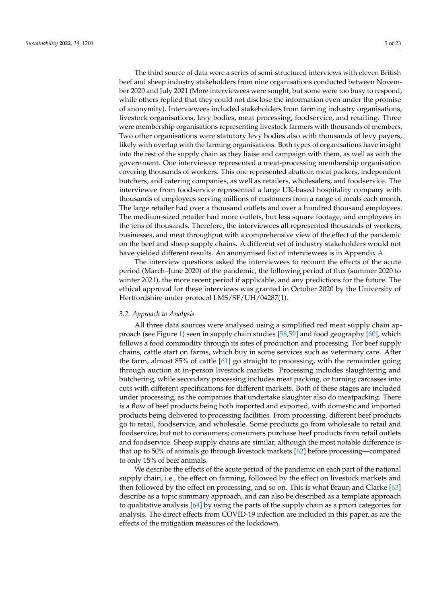The third source of data were a series of semi-structured interviews with eleven British beef and sheep industry stakeholders from nine organisations conducted between November 2020 and July 2021 (More interviewees were sought, but some were too busy to respond, while others replied that they could not disclose the information even under the promise of anonymity). Interviewees included stakeholders from farming industry organisations, livestock organisations, levy bodies, meat processing, foodservice, and retailing. Three were membership organisations representing livestock farmers with thousands of members. Two other organisations were statutory levy bodies also with thousands of levy payers, likely with overlap with the farming organisations. Both types of organisations have insight into the rest of the supply chain as they liaise and campaign with them, as well as with the government. One interviewee represented a meat-processing membership organisation covering thousands of workers. This one represented abattoir, meat packers, independent butchers, and catering companies, as well as retailers, wholesalers, and foodservice. The interviewee from foodservice represented a large UK-based hospitality company with thousands of employees serving millions of customers from a range of meals each month. The large retailer had over a thousand outlets and over a hundred thousand employees. The medium-sized retailer had more outlets, but less square footage, and employees in the tens of thousands. Therefore, the interviewees all represented thousands of workers, businesses, and meat throughput with a comprehensive view of the effect of the pandemic on the beef and sheep supply chains. A different set of industry stakeholders would not have yielded different results. An anonymised list of interviewees is in Appendix [A.](#page-17-9)

The interview questions asked the interviewees to recount the effects of the acute period (March–June 2020) of the pandemic, the following period of flux (summer 2020 to winter 2021), the more recent period if applicable, and any predictions for the future. The ethical approval for these interviews was granted in October 2020 by the University of Hertfordshire under protocol LMS/SF/UH/04287(1).

#### *3.2. Approach to Analysis*

All three data sources were analysed using a simplified red meat supply chain approach (see Figure [1\)](#page-5-1) seen in supply chain studies [\[58,](#page-19-19)[59\]](#page-19-20) and food geography [\[60\]](#page-19-21), which follows a food commodity through its sites of production and processing. For beef supply chains, cattle start on farms, which buy in some services such as veterinary care. After the farm, almost 85% of cattle [\[61\]](#page-19-22) go straight to processing, with the remainder going through auction at in-person livestock markets. Processing includes slaughtering and butchering, while secondary processing includes meat packing, or turning carcasses into cuts with different specifications for different markets. Both of these stages are included under processing, as the companies that undertake slaughter also do meatpacking. There is a flow of beef products being both imported and exported, with domestic and imported products being delivered to processing facilities. From processing, different beef products go to retail, foodservice, and wholesale. Some products go from wholesale to retail and foodservice, but not to consumers; consumers purchase beef products from retail outlets and foodservice. Sheep supply chains are similar, although the most notable difference is that up to 50% of animals go through livestock markets [\[62\]](#page-19-23) before processing—compared to only 15% of beef animals.

We describe the effects of the acute period of the pandemic on each part of the national supply chain, i.e., the effect on farming, followed by the effect on livestock markets and then followed by the effect on processing, and so on. This is what Braun and Clarke [\[63\]](#page-19-24) describe as a topic summary approach, and can also be described as a template approach to qualitative analysis [\[64\]](#page-19-25) by using the parts of the supply chain as a priori categories for analysis. The direct effects from COVID-19 infection are included in this paper, as are the effects of the mitigation measures of the lockdown.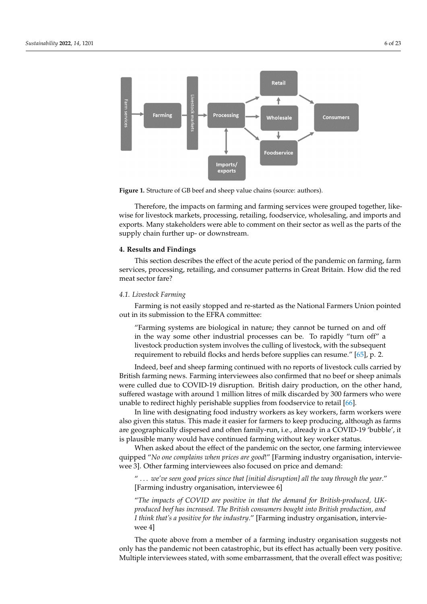<span id="page-5-1"></span>

**Figure 1.** Structure of GB beef and sheep value chains (source: authors). **Figure 1.** Structure of GB beef and sheep value chains (source: authors).

wise for livestock markets, processing, retailing, foodservice, wholesaling, and imports and exports. Many stakeholders were able to comment on their sector as well as the parts of the supply chain further up- or downstream. Therefore, the impacts on farming and farming services were grouped together, like-

# <span id="page-5-0"></span>proach to qualitative analysis [64] by using the parts of the supply chain as a priori cate-**4. Results and Findings**

only 15% of beef animals.

This section describes the effect of the acute period of the pandemic on farming, farm services, processing, retailing, and consumer patterns in Great Britain. How did the red meat sector fare?

# and exports. Many stakeholders were able to comment on their sector as well as the parts *4.1. Livestock Farming*

Farming is not easily stopped and re-started as the National Farmers Union pointed out in its submission to the EFRA committee:

**4. Results and Findings**  "Farming systems are biological in nature; they cannot be turned on and off in the way some other industrial processes can be. To rapidly "turn off" a livestock production system involves the culling of livestock, with the subsequent requirement to rebuild flocks and herds before supplies can resume." [\[65\]](#page-19-26), p. 2.

Indeed, beef and sheep farming continued with no reports of livestock culls carried by were culled due to COVID-19 disruption. British dairy production, on the other hand, suffered wastage with around 1 million litres of milk discarded by 300 farmers who were unable to redirect highly perishable supplies from foodservice to retail [\[66\]](#page-19-27).<br>La line suithe decision time food in dust respectives on here we have form more British farming news. Farming interviewees also confirmed that no beef or sheep animals

In the way designating food madstry workers as key workers, farm workers were<br>also given this status. This made it easier for farmers to keep producing, although as farms also given this status. This made it custer for larmers to keep producing, annough as larms<br>are geographically dispersed and often family-run, i.e., already in a COVID-19 'bubble', it the subsequent requirement requirement to reduce the supplies of the continuous supplies and the supplies of the is plausible many would have continued farming without key worker status.<br>When seked about the effect of the pandamic on the sector, and farming In line with designating food industry workers as key workers, farm workers were

quipped "*No one complains when prices are good*!" [Farming industry organisation, interviewee 3]. Other farming interviewees also focused on price and demand: When asked about the effect of the pandemic on the sector, one farming interviewee

"  $\dots$  we've seen good prices since that [initial disruption] all the way through the year." [Farming industry organisation, interviewee 6]

"The impacts of COVID are positive in that the demand for British-produced, UK*produced beef has increased. The British consumers bought into British production, and produced beef has increased. The British consumers bought into British production, and*  $\mu$  is the status given the status. The status of  $\mu$  is easier for farmers to  $\mu$  is determined in the status. The status of  $\mu$  is determined in the status of  $\mu$  is determined in the status of  $\mu$  is determined i *I think that's a positive for the industry."* [Farming industry organisation, intervie-<br>*1900* <sup>1</sup> is plausible many would have continued farming without key worker status. wee 4]

The quote above from a member of a farming industry organisation suggests not only has the pandemic not been catastrophic, but its effect has actually been very positive. Multiple interviewees stated, with some embarrassment, that the overall effect was positive;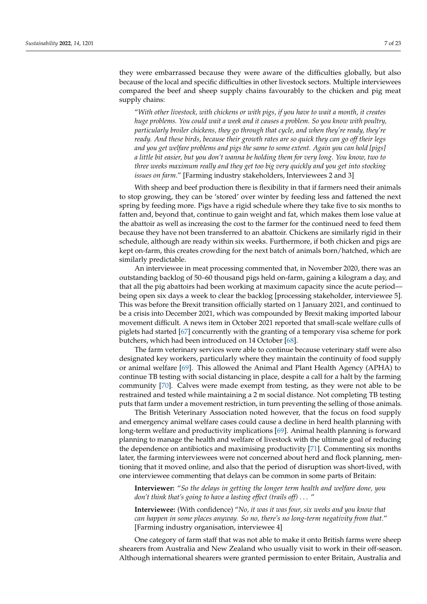they were embarrassed because they were aware of the difficulties globally, but also because of the local and specific difficulties in other livestock sectors. Multiple interviewees compared the beef and sheep supply chains favourably to the chicken and pig meat supply chains:

"*With other livestock, with chickens or with pigs, if you have to wait a month, it creates huge problems. You could wait a week and it causes a problem. So you know with poultry, particularly broiler chickens, they go through that cycle, and when they're ready, they're ready. And these birds, because their growth rates are so quick they can go off their legs and you get welfare problems and pigs the same to some extent. Again you can hold [pigs] a little bit easier, but you don't wanna be holding them for very long. You know, two to three weeks maximum really and they get too big very quickly and you get into stocking issues on farm*." [Farming industry stakeholders, Interviewees 2 and 3]

With sheep and beef production there is flexibility in that if farmers need their animals to stop growing, they can be 'stored' over winter by feeding less and fattened the next spring by feeding more. Pigs have a rigid schedule where they take five to six months to fatten and, beyond that, continue to gain weight and fat, which makes them lose value at the abattoir as well as increasing the cost to the farmer for the continued need to feed them because they have not been transferred to an abattoir. Chickens are similarly rigid in their schedule, although are ready within six weeks. Furthermore, if both chicken and pigs are kept on-farm, this creates crowding for the next batch of animals born/hatched, which are similarly predictable.

An interviewee in meat processing commented that, in November 2020, there was an outstanding backlog of 50–60 thousand pigs held on-farm, gaining a kilogram a day, and that all the pig abattoirs had been working at maximum capacity since the acute period being open six days a week to clear the backlog [processing stakeholder, interviewee 5]. This was before the Brexit transition officially started on 1 January 2021, and continued to be a crisis into December 2021, which was compounded by Brexit making imported labour movement difficult. A news item in October 2021 reported that small-scale welfare culls of piglets had started [\[67\]](#page-20-0) concurrently with the granting of a temporary visa scheme for pork butchers, which had been introduced on 14 October [\[68\]](#page-20-1).

The farm veterinary services were able to continue because veterinary staff were also designated key workers, particularly where they maintain the continuity of food supply or animal welfare [\[69\]](#page-20-2). This allowed the Animal and Plant Health Agency (APHA) to continue TB testing with social distancing in place, despite a call for a halt by the farming community [\[70\]](#page-20-3). Calves were made exempt from testing, as they were not able to be restrained and tested while maintaining a 2 m social distance. Not completing TB testing puts that farm under a movement restriction, in turn preventing the selling of those animals.

The British Veterinary Association noted however, that the focus on food supply and emergency animal welfare cases could cause a decline in herd health planning with long-term welfare and productivity implications [\[69\]](#page-20-2). Animal health planning is forward planning to manage the health and welfare of livestock with the ultimate goal of reducing the dependence on antibiotics and maximising productivity [\[71\]](#page-20-4). Commenting six months later, the farming interviewees were not concerned about herd and flock planning, mentioning that it moved online, and also that the period of disruption was short-lived, with one interviewee commenting that delays can be common in some parts of Britain:

**Interviewer:** "*So the delays in getting the longer term health and welfare done, you don't think that's going to have a lasting effect (trails off)* . . . "

**Interviewee:** (With confidence) "*No, it was it was four, six weeks and you know that can happen in some places anyway. So no, there's no long-term negativity from that*." [Farming industry organisation, interviewee 4]

One category of farm staff that was not able to make it onto British farms were sheep shearers from Australia and New Zealand who usually visit to work in their off-season. Although international shearers were granted permission to enter Britain, Australia and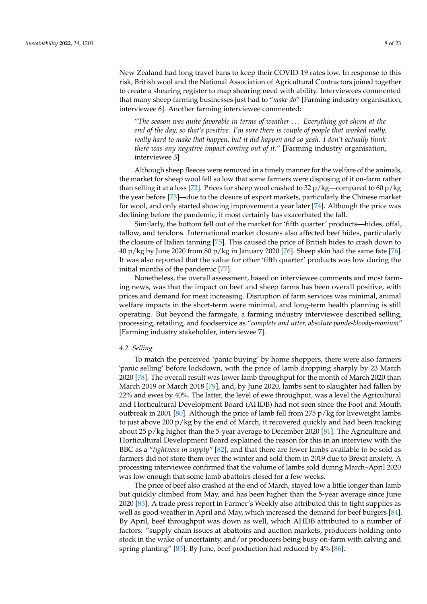New Zealand had long travel bans to keep their COVID-19 rates low. In response to this risk, British wool and the National Association of Agricultural Contractors joined together to create a shearing register to map shearing need with ability. Interviewees commented that many sheep farming businesses just had to "*make do*" [Farming industry organisation, interviewee 6]. Another farming interviewee commented:

"*The season was quite favorable in terms of weather* . . . *Everything got shorn at the end of the day, so that's positive. I'm sure there is couple of people that worked really, really hard to make that happen, but it did happen and so yeah. I don't actually think there was any negative impact coming out of it*." [Farming industry organisation, interviewee 3]

Although sheep fleeces were removed in a timely manner for the welfare of the animals, the market for sheep wool fell so low that some farmers were disposing of it on-farm rather than selling it at a loss [\[72\]](#page-20-5). Prices for sheep wool crashed to 32  $p/kg$ —compared to 60  $p/kg$ the year before [\[73\]](#page-20-6)—due to the closure of export markets, particularly the Chinese market for wool, and only started showing improvement a year later [\[74\]](#page-20-7). Although the price was declining before the pandemic, it most certainly has exacerbated the fall.

Similarly, the bottom fell out of the market for 'fifth quarter' products—hides, offal, tallow, and tendons. International market closures also affected beef hides, particularly the closure of Italian tanning [\[75\]](#page-20-8). This caused the price of British hides to crash down to 40 p/kg by June 2020 from 80 p/kg in January 2020 [\[76\]](#page-20-9). Sheep skin had the same fate [76]. It was also reported that the value for other 'fifth quarter' products was low during the initial months of the pandemic [\[77\]](#page-20-10).

Nonetheless, the overall assessment, based on interviewee comments and most farming news, was that the impact on beef and sheep farms has been overall positive, with prices and demand for meat increasing. Disruption of farm services was minimal, animal welfare impacts in the short-term were minimal, and long-term health planning is still operating. But beyond the farmgate, a farming industry interviewee described selling, processing, retailing, and foodservice as "*complete and utter, absolute pande-bloody-monium*" [Farming industry stakeholder, interviewee 7].

# *4.2. Selling*

To match the perceived 'panic buying' by home shoppers, there were also farmers 'panic selling' before lockdown, with the price of lamb dropping sharply by 23 March 2020 [\[78\]](#page-20-11). The overall result was lower lamb throughput for the month of March 2020 than March 2019 or March 2018 [\[79\]](#page-20-12), and, by June 2020, lambs sent to slaughter had fallen by 22% and ewes by 40%. The latter, the level of ewe throughput, was a level the Agricultural and Horticultural Development Board (AHDB) had not seen since the Foot and Mouth outbreak in 2001 [\[80\]](#page-20-13). Although the price of lamb fell from 275  $p/kg$  for liveweight lambs to just above 200 p/kg by the end of March, it recovered quickly and had been tracking about 25 p/kg higher than the 5-year average to December 2020 [\[81\]](#page-20-14). The Agriculture and Horticultural Development Board explained the reason for this in an interview with the BBC as a "*tightness in supply*" [\[82\]](#page-20-15), and that there are fewer lambs available to be sold as farmers did not store them over the winter and sold them in 2019 due to Brexit anxiety. A processing interviewee confirmed that the volume of lambs sold during March–April 2020 was low enough that some lamb abattoirs closed for a few weeks.

The price of beef also crashed at the end of March, stayed low a little longer than lamb but quickly climbed from May, and has been higher than the 5-year average since June 2020 [\[83\]](#page-20-16). A trade press report in Farmer's Weekly also attributed this to tight supplies as well as good weather in April and May, which increased the demand for beef burgers [\[84\]](#page-20-17). By April, beef throughput was down as well, which AHDB attributed to a number of factors: "supply chain issues at abattoirs and auction markets, producers holding onto stock in the wake of uncertainty, and/or producers being busy on-farm with calving and spring planting" [\[85\]](#page-20-18). By June, beef production had reduced by 4% [\[86\]](#page-20-19).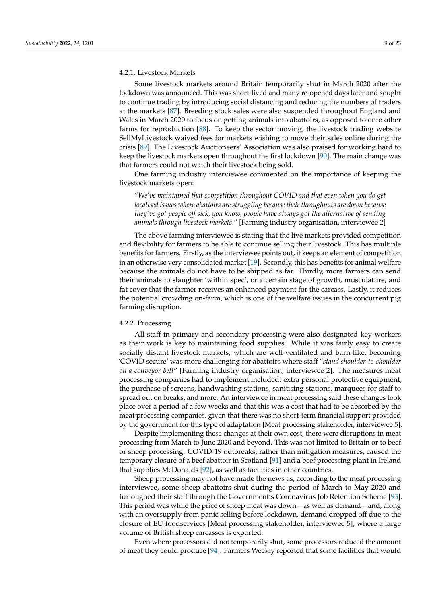# 4.2.1. Livestock Markets

Some livestock markets around Britain temporarily shut in March 2020 after the lockdown was announced. This was short-lived and many re-opened days later and sought to continue trading by introducing social distancing and reducing the numbers of traders at the markets [\[87\]](#page-20-20). Breeding stock sales were also suspended throughout England and Wales in March 2020 to focus on getting animals into abattoirs, as opposed to onto other farms for reproduction [\[88\]](#page-20-21). To keep the sector moving, the livestock trading website SellMyLivestock waived fees for markets wishing to move their sales online during the crisis [\[89\]](#page-20-22). The Livestock Auctioneers' Association was also praised for working hard to keep the livestock markets open throughout the first lockdown [\[90\]](#page-20-23). The main change was that farmers could not watch their livestock being sold.

One farming industry interviewee commented on the importance of keeping the livestock markets open:

"*We've maintained that competition throughout COVID and that even when you do get localised issues where abattoirs are struggling because their throughputs are down because they've got people off sick, you know, people have always got the alternative of sending animals through livestock markets*." [Farming industry organisation, interviewee 2]

The above farming interviewee is stating that the live markets provided competition and flexibility for farmers to be able to continue selling their livestock. This has multiple benefits for farmers. Firstly, as the interviewee points out, it keeps an element of competition in an otherwise very consolidated market [\[19\]](#page-18-9). Secondly, this has benefits for animal welfare because the animals do not have to be shipped as far. Thirdly, more farmers can send their animals to slaughter 'within spec', or a certain stage of growth, musculature, and fat cover that the farmer receives an enhanced payment for the carcass. Lastly, it reduces the potential crowding on-farm, which is one of the welfare issues in the concurrent pig farming disruption.

#### 4.2.2. Processing

All staff in primary and secondary processing were also designated key workers as their work is key to maintaining food supplies. While it was fairly easy to create socially distant livestock markets, which are well-ventilated and barn-like, becoming 'COVID secure' was more challenging for abattoirs where staff "*stand shoulder-to-shoulder on a conveyor belt*" [Farming industry organisation, interviewee 2]. The measures meat processing companies had to implement included: extra personal protective equipment, the purchase of screens, handwashing stations, sanitising stations, marquees for staff to spread out on breaks, and more. An interviewee in meat processing said these changes took place over a period of a few weeks and that this was a cost that had to be absorbed by the meat processing companies, given that there was no short-term financial support provided by the government for this type of adaptation [Meat processing stakeholder, interviewee 5].

Despite implementing these changes at their own cost, there were disruptions in meat processing from March to June 2020 and beyond. This was not limited to Britain or to beef or sheep processing. COVID-19 outbreaks, rather than mitigation measures, caused the temporary closure of a beef abattoir in Scotland [\[91\]](#page-20-24) and a beef processing plant in Ireland that supplies McDonalds [\[92\]](#page-20-25), as well as facilities in other countries.

Sheep processing may not have made the news as, according to the meat processing interviewee, some sheep abattoirs shut during the period of March to May 2020 and furloughed their staff through the Government's Coronavirus Job Retention Scheme [\[93\]](#page-21-0). This period was while the price of sheep meat was down—as well as demand—and, along with an oversupply from panic selling before lockdown, demand dropped off due to the closure of EU foodservices [Meat processing stakeholder, interviewee 5], where a large volume of British sheep carcasses is exported.

Even where processors did not temporarily shut, some processors reduced the amount of meat they could produce [\[94\]](#page-21-1). Farmers Weekly reported that some facilities that would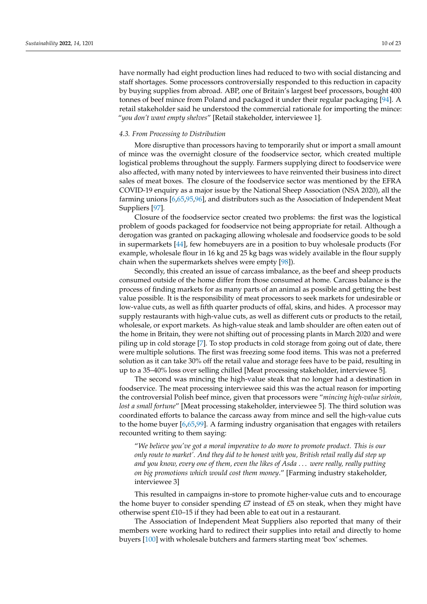have normally had eight production lines had reduced to two with social distancing and staff shortages. Some processors controversially responded to this reduction in capacity by buying supplies from abroad. ABP, one of Britain's largest beef processors, bought 400 tonnes of beef mince from Poland and packaged it under their regular packaging [\[94\]](#page-21-1). A retail stakeholder said he understood the commercial rationale for importing the mince: "*you don't want empty shelves*" [Retail stakeholder, interviewee 1].

#### *4.3. From Processing to Distribution*

More disruptive than processors having to temporarily shut or import a small amount of mince was the overnight closure of the foodservice sector, which created multiple logistical problems throughout the supply. Farmers supplying direct to foodservice were also affected, with many noted by interviewees to have reinvented their business into direct sales of meat boxes. The closure of the foodservice sector was mentioned by the EFRA COVID-19 enquiry as a major issue by the National Sheep Association (NSA 2020), all the farming unions [\[6,](#page-17-5)[65,](#page-19-26)[95](#page-21-2)[,96\]](#page-21-3), and distributors such as the Association of Independent Meat Suppliers [\[97\]](#page-21-4).

Closure of the foodservice sector created two problems: the first was the logistical problem of goods packaged for foodservice not being appropriate for retail. Although a derogation was granted on packaging allowing wholesale and foodservice goods to be sold in supermarkets [\[44\]](#page-19-6), few homebuyers are in a position to buy wholesale products (For example, wholesale flour in 16 kg and 25 kg bags was widely available in the flour supply chain when the supermarkets shelves were empty [\[98\]](#page-21-5)).

Secondly, this created an issue of carcass imbalance, as the beef and sheep products consumed outside of the home differ from those consumed at home. Carcass balance is the process of finding markets for as many parts of an animal as possible and getting the best value possible. It is the responsibility of meat processors to seek markets for undesirable or low-value cuts, as well as fifth quarter products of offal, skins, and hides. A processor may supply restaurants with high-value cuts, as well as different cuts or products to the retail, wholesale, or export markets. As high-value steak and lamb shoulder are often eaten out of the home in Britain, they were not shifting out of processing plants in March 2020 and were piling up in cold storage [\[7\]](#page-17-6). To stop products in cold storage from going out of date, there were multiple solutions. The first was freezing some food items. This was not a preferred solution as it can take 30% off the retail value and storage fees have to be paid, resulting in up to a 35–40% loss over selling chilled [Meat processing stakeholder, interviewee 5].

The second was mincing the high-value steak that no longer had a destination in foodservice. The meat processing interviewee said this was the actual reason for importing the controversial Polish beef mince, given that processors were "*mincing high-value sirloin, lost a small fortune*" [Meat processing stakeholder, interviewee 5]. The third solution was coordinated efforts to balance the carcass away from mince and sell the high-value cuts to the home buyer [\[6,](#page-17-5)[65,](#page-19-26)[99\]](#page-21-6). A farming industry organisation that engages with retailers recounted writing to them saying:

"*We believe you've got a moral imperative to do more to promote product. This is our only route to market'. And they did to be honest with you, British retail really did step up and you know, every one of them, even the likes of Asda* . . . *were really, really putting on big promotions which would cost them money*." [Farming industry stakeholder, interviewee 3]

This resulted in campaigns in-store to promote higher-value cuts and to encourage the home buyer to consider spending  $E7$  instead of  $E5$  on steak, when they might have otherwise spent £10–15 if they had been able to eat out in a restaurant.

The Association of Independent Meat Suppliers also reported that many of their members were working hard to redirect their supplies into retail and directly to home buyers [\[100\]](#page-21-7) with wholesale butchers and farmers starting meat 'box' schemes.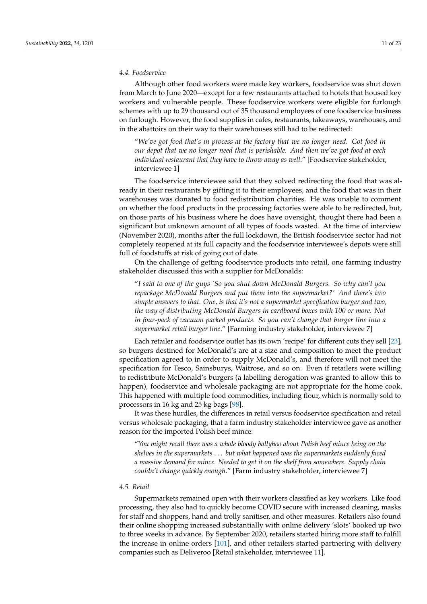#### *4.4. Foodservice*

Although other food workers were made key workers, foodservice was shut down from March to June 2020—except for a few restaurants attached to hotels that housed key workers and vulnerable people. These foodservice workers were eligible for furlough schemes with up to 29 thousand out of 35 thousand employees of one foodservice business on furlough. However, the food supplies in cafes, restaurants, takeaways, warehouses, and in the abattoirs on their way to their warehouses still had to be redirected:

"*We've got food that's in process at the factory that we no longer need. Got food in our depot that we no longer need that is perishable. And then we've got food at each* individual restaurant that they have to throw away as well." [Foodservice stakeholder, interviewee 1]

The foodservice interviewee said that they solved redirecting the food that was already in their restaurants by gifting it to their employees, and the food that was in their warehouses was donated to food redistribution charities. He was unable to comment on whether the food products in the processing factories were able to be redirected, but, on those parts of his business where he does have oversight, thought there had been a significant but unknown amount of all types of foods wasted. At the time of interview (November 2020), months after the full lockdown, the British foodservice sector had not completely reopened at its full capacity and the foodservice interviewee's depots were still full of foodstuffs at risk of going out of date.

On the challenge of getting foodservice products into retail, one farming industry stakeholder discussed this with a supplier for McDonalds:

"*I said to one of the guys 'So you shut down McDonald Burgers. So why can't you repackage McDonald Burgers and put them into the supermarket?' And there's two simple answers to that. One, is that it's not a supermarket specification burger and two, the way of distributing McDonald Burgers in cardboard boxes with 100 or more. Not in four-pack of vacuum packed products. So you can't change that burger line into a supermarket retail burger line*." [Farming industry stakeholder, interviewee 7]

Each retailer and foodservice outlet has its own 'recipe' for different cuts they sell [\[23\]](#page-18-27), so burgers destined for McDonald's are at a size and composition to meet the product specification agreed to in order to supply McDonald's, and therefore will not meet the specification for Tesco, Sainsburys, Waitrose, and so on. Even if retailers were willing to redistribute McDonald's burgers (a labelling derogation was granted to allow this to happen), foodservice and wholesale packaging are not appropriate for the home cook. This happened with multiple food commodities, including flour, which is normally sold to processors in 16 kg and 25 kg bags [\[98\]](#page-21-5).

It was these hurdles, the differences in retail versus foodservice specification and retail versus wholesale packaging, that a farm industry stakeholder interviewee gave as another reason for the imported Polish beef mince:

"*You might recall there was a whole bloody ballyhoo about Polish beef mince being on the shelves in the supermarkets* . . . *but what happened was the supermarkets suddenly faced a massive demand for mince. Needed to get it on the shelf from somewhere. Supply chain couldn't change quickly enough*." [Farm industry stakeholder, interviewee 7]

#### *4.5. Retail*

Supermarkets remained open with their workers classified as key workers. Like food processing, they also had to quickly become COVID secure with increased cleaning, masks for staff and shoppers, hand and trolly sanitiser, and other measures. Retailers also found their online shopping increased substantially with online delivery 'slots' booked up two to three weeks in advance. By September 2020, retailers started hiring more staff to fulfill the increase in online orders [\[101\]](#page-21-8), and other retailers started partnering with delivery companies such as Deliveroo [Retail stakeholder, interviewee 11].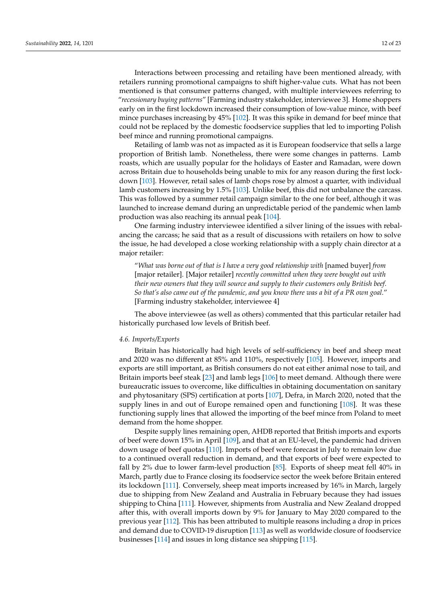Interactions between processing and retailing have been mentioned already, with retailers running promotional campaigns to shift higher-value cuts. What has not been mentioned is that consumer patterns changed, with multiple interviewees referring to "*recessionary buying patterns*" [Farming industry stakeholder, interviewee 3]. Home shoppers early on in the first lockdown increased their consumption of low-value mince, with beef mince purchases increasing by 45% [\[102\]](#page-21-9). It was this spike in demand for beef mince that could not be replaced by the domestic foodservice supplies that led to importing Polish beef mince and running promotional campaigns.

Retailing of lamb was not as impacted as it is European foodservice that sells a large proportion of British lamb. Nonetheless, there were some changes in patterns. Lamb roasts, which are usually popular for the holidays of Easter and Ramadan, were down across Britain due to households being unable to mix for any reason during the first lockdown [\[103\]](#page-21-10). However, retail sales of lamb chops rose by almost a quarter, with individual lamb customers increasing by 1.5% [\[103\]](#page-21-10). Unlike beef, this did not unbalance the carcass. This was followed by a summer retail campaign similar to the one for beef, although it was launched to increase demand during an unpredictable period of the pandemic when lamb production was also reaching its annual peak [\[104\]](#page-21-11).

One farming industry interviewee identified a silver lining of the issues with rebalancing the carcass; he said that as a result of discussions with retailers on how to solve the issue, he had developed a close working relationship with a supply chain director at a major retailer:

"*What was borne out of that is I have a very good relationship with* [named buyer] *from* [major retailer]. [Major retailer] *recently committed when they were bought out with their new owners that they will source and supply to their customers only British beef. So that's also came out of the pandemic, and you know there was a bit of a PR own goal*." [Farming industry stakeholder, interviewee 4]

The above interviewee (as well as others) commented that this particular retailer had historically purchased low levels of British beef.

#### *4.6. Imports/Exports*

Britain has historically had high levels of self-sufficiency in beef and sheep meat and 2020 was no different at 85% and 110%, respectively [\[105\]](#page-21-12). However, imports and exports are still important, as British consumers do not eat either animal nose to tail, and Britain imports beef steak [\[23\]](#page-18-27) and lamb legs [\[106\]](#page-21-13) to meet demand. Although there were bureaucratic issues to overcome, like difficulties in obtaining documentation on sanitary and phytosanitary (SPS) certification at ports [\[107\]](#page-21-14), Defra, in March 2020, noted that the supply lines in and out of Europe remained open and functioning [\[108\]](#page-21-15). It was these functioning supply lines that allowed the importing of the beef mince from Poland to meet demand from the home shopper.

Despite supply lines remaining open, AHDB reported that British imports and exports of beef were down 15% in April [\[109\]](#page-21-16), and that at an EU-level, the pandemic had driven down usage of beef quotas [\[110\]](#page-21-17). Imports of beef were forecast in July to remain low due to a continued overall reduction in demand, and that exports of beef were expected to fall by 2% due to lower farm-level production [\[85\]](#page-20-18). Exports of sheep meat fell 40% in March, partly due to France closing its foodservice sector the week before Britain entered its lockdown [\[111\]](#page-21-18). Conversely, sheep meat imports increased by 16% in March, largely due to shipping from New Zealand and Australia in February because they had issues shipping to China [\[111\]](#page-21-18). However, shipments from Australia and New Zealand dropped after this, with overall imports down by 9% for January to May 2020 compared to the previous year [\[112\]](#page-21-19). This has been attributed to multiple reasons including a drop in prices and demand due to COVID-19 disruption [\[113\]](#page-21-20) as well as worldwide closure of foodservice businesses [\[114\]](#page-21-21) and issues in long distance sea shipping [\[115\]](#page-21-22).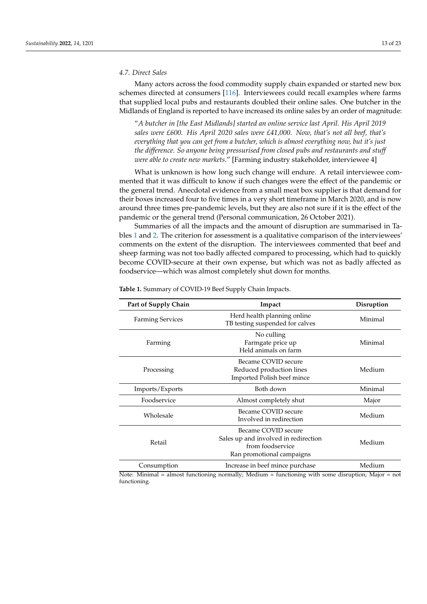#### *4.7. Direct Sales*

Many actors across the food commodity supply chain expanded or started new box schemes directed at consumers [\[116\]](#page-22-0). Interviewees could recall examples where farms that supplied local pubs and restaurants doubled their online sales. One butcher in the Midlands of England is reported to have increased its online sales by an order of magnitude:

"*A butcher in [the East Midlands] started an online service last April. His April 2019 sales were £600. His April 2020 sales were £41,000. Now, that's not all beef, that's everything that you can get from a butcher, which is almost everything now, but it's just the difference. So anyone being pressurised from closed pubs and restaurants and stuff were able to create new markets*." [Farming industry stakeholder, interviewee 4]

What is unknown is how long such change will endure. A retail interviewee commented that it was difficult to know if such changes were the effect of the pandemic or the general trend. Anecdotal evidence from a small meat box supplier is that demand for their boxes increased four to five times in a very short timeframe in March 2020, and is now around three times pre-pandemic levels, but they are also not sure if it is the effect of the pandemic or the general trend (Personal communication, 26 October 2021).

Summaries of all the impacts and the amount of disruption are summarised in Tables [1](#page-12-0) and [2.](#page-13-1) The criterion for assessment is a qualitative comparison of the interviewees' comments on the extent of the disruption. The interviewees commented that beef and sheep farming was not too badly affected compared to processing, which had to quickly become COVID-secure at their own expense, but which was not as badly affected as foodservice—which was almost completely shut down for months.

| Part of Supply Chain    | Impact                                                                                                       | Disruption |
|-------------------------|--------------------------------------------------------------------------------------------------------------|------------|
| <b>Farming Services</b> | Herd health planning online<br>TB testing suspended for calves                                               | Minimal    |
| Farming                 | No culling<br>Farmgate price up<br>Held animals on farm                                                      | Minimal    |
| Processing              | Became COVID secure<br>Reduced production lines<br>Imported Polish beef mince                                | Medium     |
| Imports/Exports         | Both down                                                                                                    | Minimal    |
| Foodservice             | Almost completely shut                                                                                       | Major      |
| Wholesale               | Became COVID secure<br>Involved in redirection                                                               | Medium     |
| Retail                  | Became COVID secure<br>Sales up and involved in redirection<br>from foodservice<br>Ran promotional campaigns | Medium     |
| Consumption             | Increase in beef mince purchase                                                                              | Medium     |

<span id="page-12-0"></span>**Table 1.** Summary of COVID-19 Beef Supply Chain Impacts.

Note: Minimal = almost functioning normally; Medium = functioning with some disruption; Major = not functioning.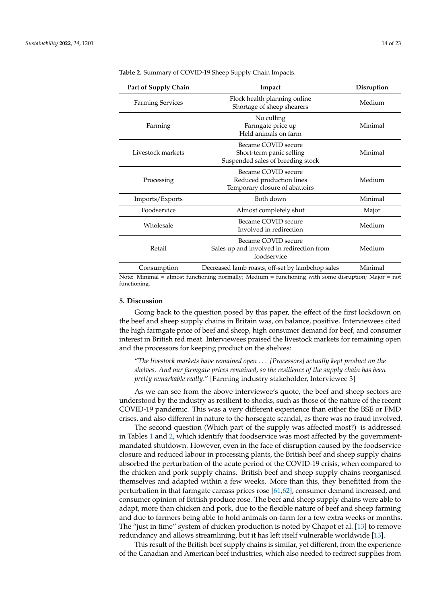| Part of Supply Chain    | Impact                                                                               | Disruption |
|-------------------------|--------------------------------------------------------------------------------------|------------|
| <b>Farming Services</b> | Flock health planning online<br>Shortage of sheep shearers                           | Medium     |
| Farming                 | No culling<br>Farmgate price up<br>Held animals on farm                              | Minimal    |
| Livestock markets       | Became COVID secure<br>Short-term panic selling<br>Suspended sales of breeding stock | Minimal    |
| Processing              | Became COVID secure<br>Reduced production lines<br>Temporary closure of abattoirs    | Medium     |
| Imports/Exports         | Both down                                                                            | Minimal    |
| Foodservice             | Almost completely shut                                                               | Major      |
| Wholesale               | Became COVID secure<br>Involved in redirection                                       | Medium     |
| Retail                  | Became COVID secure<br>Sales up and involved in redirection from<br>foodservice      | Medium     |
| Consumption             | Decreased lamb roasts, off-set by lambchop sales                                     | Minimal    |

<span id="page-13-1"></span>**Table 2.** Summary of COVID-19 Sheep Supply Chain Impacts.

Note: Minimal = almost functioning normally; Medium = functioning with some disruption; Major = not functioning.

# <span id="page-13-0"></span>**5. Discussion**

Going back to the question posed by this paper, the effect of the first lockdown on the beef and sheep supply chains in Britain was, on balance, positive. Interviewees cited the high farmgate price of beef and sheep, high consumer demand for beef, and consumer interest in British red meat. Interviewees praised the livestock markets for remaining open and the processors for keeping product on the shelves:

"*The livestock markets have remained open* . . . *[Processors] actually kept product on the shelves. And our farmgate prices remained, so the resilience of the supply chain has been pretty remarkable really*." [Farming industry stakeholder, Interviewee 3]

As we can see from the above interviewee's quote, the beef and sheep sectors are understood by the industry as resilient to shocks, such as those of the nature of the recent COVID-19 pandemic. This was a very different experience than either the BSE or FMD crises, and also different in nature to the horsegate scandal, as there was no fraud involved.

The second question (Which part of the supply was affected most?) is addressed in Tables [1](#page-12-0) and [2,](#page-13-1) which identify that foodservice was most affected by the governmentmandated shutdown. However, even in the face of disruption caused by the foodservice closure and reduced labour in processing plants, the British beef and sheep supply chains absorbed the perturbation of the acute period of the COVID-19 crisis, when compared to the chicken and pork supply chains. British beef and sheep supply chains reorganised themselves and adapted within a few weeks. More than this, they benefitted from the perturbation in that farmgate carcass prices rose [\[61,](#page-19-22)[62\]](#page-19-23), consumer demand increased, and consumer opinion of British produce rose. The beef and sheep supply chains were able to adapt, more than chicken and pork, due to the flexible nature of beef and sheep farming and due to farmers being able to hold animals on-farm for a few extra weeks or months. The "just in time" system of chicken production is noted by Chapot et al. [\[13\]](#page-18-2) to remove redundancy and allows streamlining, but it has left itself vulnerable worldwide [\[13\]](#page-18-2).

This result of the British beef supply chains is similar, yet different, from the experience of the Canadian and American beef industries, which also needed to redirect supplies from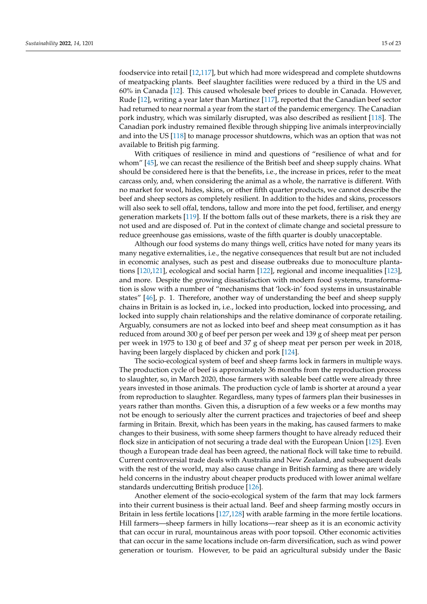foodservice into retail [\[12,](#page-18-1)[117\]](#page-22-1), but which had more widespread and complete shutdowns of meatpacking plants. Beef slaughter facilities were reduced by a third in the US and 60% in Canada [\[12\]](#page-18-1). This caused wholesale beef prices to double in Canada. However, Rude [\[12\]](#page-18-1), writing a year later than Martinez [\[117\]](#page-22-1), reported that the Canadian beef sector had returned to near normal a year from the start of the pandemic emergency. The Canadian pork industry, which was similarly disrupted, was also described as resilient [\[118\]](#page-22-2). The Canadian pork industry remained flexible through shipping live animals interprovincially and into the US [\[118\]](#page-22-2) to manage processor shutdowns, which was an option that was not available to British pig farming.

With critiques of resilience in mind and questions of "resilience of what and for whom" [\[45\]](#page-19-7), we can recast the resilience of the British beef and sheep supply chains. What should be considered here is that the benefits, i.e., the increase in prices, refer to the meat carcass only, and, when considering the animal as a whole, the narrative is different. With no market for wool, hides, skins, or other fifth quarter products, we cannot describe the beef and sheep sectors as completely resilient. In addition to the hides and skins, processors will also seek to sell offal, tendons, tallow and more into the pet food, fertiliser, and energy generation markets [\[119\]](#page-22-3). If the bottom falls out of these markets, there is a risk they are not used and are disposed of. Put in the context of climate change and societal pressure to reduce greenhouse gas emissions, waste of the fifth quarter is doubly unacceptable.

Although our food systems do many things well, critics have noted for many years its many negative externalities, i.e., the negative consequences that result but are not included in economic analyses, such as pest and disease outbreaks due to monoculture plantations [\[120,](#page-22-4)[121\]](#page-22-5), ecological and social harm [\[122\]](#page-22-6), regional and income inequalities [\[123\]](#page-22-7), and more. Despite the growing dissatisfaction with modern food systems, transformation is slow with a number of "mechanisms that 'lock-in' food systems in unsustainable states" [\[46\]](#page-19-8), p. 1. Therefore, another way of understanding the beef and sheep supply chains in Britain is as locked in, i.e., locked into production, locked into processing, and locked into supply chain relationships and the relative dominance of corporate retailing. Arguably, consumers are not as locked into beef and sheep meat consumption as it has reduced from around 300 g of beef per person per week and 139 g of sheep meat per person per week in 1975 to 130 g of beef and 37 g of sheep meat per person per week in 2018, having been largely displaced by chicken and pork [\[124\]](#page-22-8).

The socio-ecological system of beef and sheep farms lock in farmers in multiple ways. The production cycle of beef is approximately 36 months from the reproduction process to slaughter, so, in March 2020, those farmers with saleable beef cattle were already three years invested in those animals. The production cycle of lamb is shorter at around a year from reproduction to slaughter. Regardless, many types of farmers plan their businesses in years rather than months. Given this, a disruption of a few weeks or a few months may not be enough to seriously alter the current practices and trajectories of beef and sheep farming in Britain. Brexit, which has been years in the making, has caused farmers to make changes to their business, with some sheep farmers thought to have already reduced their flock size in anticipation of not securing a trade deal with the European Union [\[125\]](#page-22-9). Even though a European trade deal has been agreed, the national flock will take time to rebuild. Current controversial trade deals with Australia and New Zealand, and subsequent deals with the rest of the world, may also cause change in British farming as there are widely held concerns in the industry about cheaper products produced with lower animal welfare standards undercutting British produce [\[126\]](#page-22-10).

Another element of the socio-ecological system of the farm that may lock farmers into their current business is their actual land. Beef and sheep farming mostly occurs in Britain in less fertile locations [\[127](#page-22-11)[,128\]](#page-22-12) with arable farming in the more fertile locations. Hill farmers—sheep farmers in hilly locations—rear sheep as it is an economic activity that can occur in rural, mountainous areas with poor topsoil. Other economic activities that can occur in the same locations include on-farm diversification, such as wind power generation or tourism. However, to be paid an agricultural subsidy under the Basic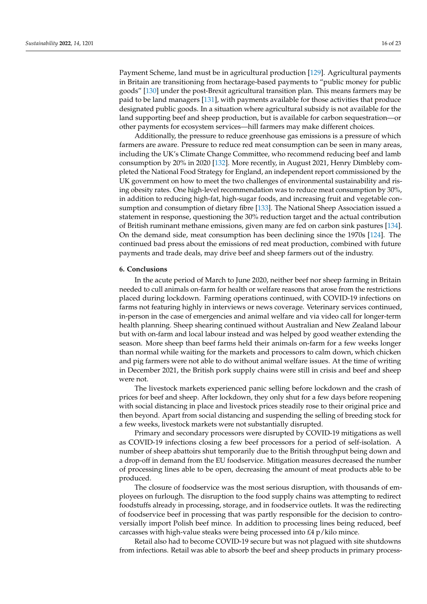Payment Scheme, land must be in agricultural production [\[129\]](#page-22-13). Agricultural payments in Britain are transitioning from hectarage-based payments to "public money for public goods" [\[130\]](#page-22-14) under the post-Brexit agricultural transition plan. This means farmers may be paid to be land managers [\[131\]](#page-22-15), with payments available for those activities that produce designated public goods. In a situation where agricultural subsidy is not available for the land supporting beef and sheep production, but is available for carbon sequestration—or other payments for ecosystem services—hill farmers may make different choices.

Additionally, the pressure to reduce greenhouse gas emissions is a pressure of which farmers are aware. Pressure to reduce red meat consumption can be seen in many areas, including the UK's Climate Change Committee, who recommend reducing beef and lamb consumption by 20% in 2020 [\[132\]](#page-22-16). More recently, in August 2021, Henry Dimbleby completed the National Food Strategy for England, an independent report commissioned by the UK government on how to meet the two challenges of environmental sustainability and rising obesity rates. One high-level recommendation was to reduce meat consumption by 30%, in addition to reducing high-fat, high-sugar foods, and increasing fruit and vegetable consumption and consumption of dietary fibre [\[133\]](#page-22-17). The National Sheep Association issued a statement in response, questioning the 30% reduction target and the actual contribution of British ruminant methane emissions, given many are fed on carbon sink pastures [\[134\]](#page-22-18). On the demand side, meat consumption has been declining since the 1970s [\[124\]](#page-22-8). The continued bad press about the emissions of red meat production, combined with future payments and trade deals, may drive beef and sheep farmers out of the industry.

## **6. Conclusions**

In the acute period of March to June 2020, neither beef nor sheep farming in Britain needed to cull animals on-farm for health or welfare reasons that arose from the restrictions placed during lockdown. Farming operations continued, with COVID-19 infections on farms not featuring highly in interviews or news coverage. Veterinary services continued, in-person in the case of emergencies and animal welfare and via video call for longer-term health planning. Sheep shearing continued without Australian and New Zealand labour but with on-farm and local labour instead and was helped by good weather extending the season. More sheep than beef farms held their animals on-farm for a few weeks longer than normal while waiting for the markets and processors to calm down, which chicken and pig farmers were not able to do without animal welfare issues. At the time of writing in December 2021, the British pork supply chains were still in crisis and beef and sheep were not.

The livestock markets experienced panic selling before lockdown and the crash of prices for beef and sheep. After lockdown, they only shut for a few days before reopening with social distancing in place and livestock prices steadily rose to their original price and then beyond. Apart from social distancing and suspending the selling of breeding stock for a few weeks, livestock markets were not substantially disrupted.

Primary and secondary processors were disrupted by COVID-19 mitigations as well as COVID-19 infections closing a few beef processors for a period of self-isolation. A number of sheep abattoirs shut temporarily due to the British throughput being down and a drop-off in demand from the EU foodservice. Mitigation measures decreased the number of processing lines able to be open, decreasing the amount of meat products able to be produced.

The closure of foodservice was the most serious disruption, with thousands of employees on furlough. The disruption to the food supply chains was attempting to redirect foodstuffs already in processing, storage, and in foodservice outlets. It was the redirecting of foodservice beef in processing that was partly responsible for the decision to controversially import Polish beef mince. In addition to processing lines being reduced, beef carcasses with high-value steaks were being processed into £4 p/kilo mince.

Retail also had to become COVID-19 secure but was not plagued with site shutdowns from infections. Retail was able to absorb the beef and sheep products in primary process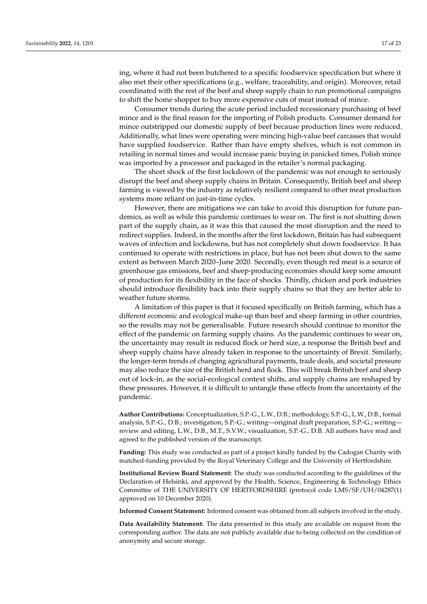ing, where it had not been butchered to a specific foodservice specification but where it also met their other specifications (e.g., welfare, traceability, and origin). Moreover, retail coordinated with the rest of the beef and sheep supply chain to run promotional campaigns to shift the home shopper to buy more expensive cuts of meat instead of mince.

Consumer trends during the acute period included recessionary purchasing of beef mince and is the final reason for the importing of Polish products. Consumer demand for mince outstripped our domestic supply of beef because production lines were reduced. Additionally, what lines were operating were mincing high-value beef carcasses that would have supplied foodservice. Rather than have empty shelves, which is not common in retailing in normal times and would increase panic buying in panicked times, Polish mince was imported by a processor and packaged in the retailer's normal packaging.

The short shock of the first lockdown of the pandemic was not enough to seriously disrupt the beef and sheep supply chains in Britain. Consequently, British beef and sheep farming is viewed by the industry as relatively resilient compared to other meat production systems more reliant on just-in-time cycles.

However, there are mitigations we can take to avoid this disruption for future pandemics, as well as while this pandemic continues to wear on. The first is not shutting down part of the supply chain, as it was this that caused the most disruption and the need to redirect supplies. Indeed, in the months after the first lockdown, Britain has had subsequent waves of infection and lockdowns, but has not completely shut down foodservice. It has continued to operate with restrictions in place, but has not been shut down to the same extent as between March 2020–June 2020. Secondly, even though red meat is a source of greenhouse gas emissions, beef and sheep-producing economies should keep some amount of production for its flexibility in the face of shocks. Thirdly, chicken and pork industries should introduce flexibility back into their supply chains so that they are better able to weather future storms.

A limitation of this paper is that it focused specifically on British farming, which has a different economic and ecological make-up than beef and sheep farming in other countries, so the results may not be generalisable. Future research should continue to monitor the effect of the pandemic on farming supply chains. As the pandemic continues to wear on, the uncertainty may result in reduced flock or herd size, a response the British beef and sheep supply chains have already taken in response to the uncertainty of Brexit. Similarly, the longer-term trends of changing agricultural payments, trade deals, and societal pressure may also reduce the size of the British herd and flock. This will break British beef and sheep out of lock-in, as the social-ecological context shifts, and supply chains are reshaped by these pressures. However, it is difficult to untangle these effects from the uncertainty of the pandemic.

**Author Contributions:** Conceptualization, S.P.-G., L.W., D.B.; methodology, S.P.-G., L.W., D.B., formal analysis, S.P.-G., D.B.; investigation, S.P.-G.; writing—original draft preparation, S.P.-G.; writing review and editing, L.W., D.B., M.T., S.V.W.; visualization, S.P.-G., D.B. All authors have read and agreed to the published version of the manuscript.

**Funding:** This study was conducted as part of a project kindly funded by the Cadogan Charity with matched-funding provided by the Royal Veterinary College and the University of Hertfordshire.

**Institutional Review Board Statement:** The study was conducted according to the guidelines of the Declaration of Helsinki, and approved by the Health, Science, Engineering & Technology Ethics Committee of THE UNIVERSITY OF HERTFORDSHIRE (protocol code LMS/SF/UH/04287(1) approved on 10 December 2020).

**Informed Consent Statement:** Informed consent was obtained from all subjects involved in the study.

**Data Availability Statement:** The data presented in this study are available on request from the corresponding author. The data are not publicly available due to being collected on the condition of anonymity and secure storage.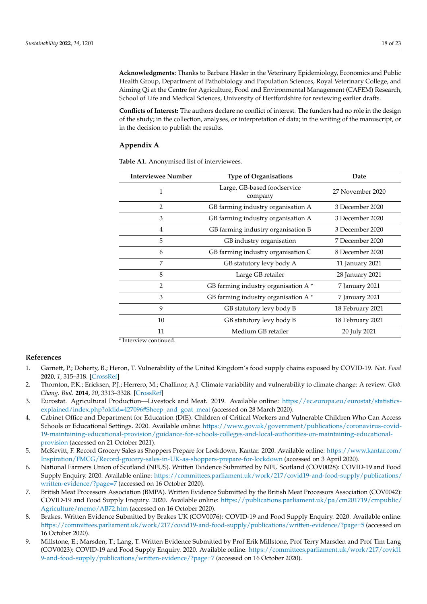**Acknowledgments:** Thanks to Barbara Häsler in the Veterinary Epidemiology, Economics and Public Health Group, Department of Pathobiology and Population Sciences, Royal Veterinary College, and Aiming Qi at the Centre for Agriculture, Food and Environmental Management (CAFEM) Research, School of Life and Medical Sciences, University of Hertfordshire for reviewing earlier drafts.

**Conflicts of Interest:** The authors declare no conflict of interest. The funders had no role in the design of the study; in the collection, analyses, or interpretation of data; in the writing of the manuscript, or in the decision to publish the results.

# <span id="page-17-9"></span>**Appendix A**

**Table A1.** Anonymised list of interviewees.

| <b>Interviewee Number</b> | <b>Type of Organisations</b>           | Date             |
|---------------------------|----------------------------------------|------------------|
| 1                         | Large, GB-based foodservice<br>company | 27 November 2020 |
| $\overline{2}$            | GB farming industry organisation A     | 3 December 2020  |
| 3                         | GB farming industry organisation A     | 3 December 2020  |
| 4                         | GB farming industry organisation B     | 3 December 2020  |
| 5                         | GB industry organisation               | 7 December 2020  |
| 6                         | GB farming industry organisation C     | 8 December 2020  |
| 7                         | GB statutory levy body A               | 11 January 2021  |
| 8                         | Large GB retailer                      | 28 January 2021  |
| 2                         | GB farming industry organisation A*    | 7 January 2021   |
| 3                         | GB farming industry organisation A*    | 7 January 2021   |
| 9                         | GB statutory levy body B               | 18 February 2021 |
| 10                        | GB statutory levy body B               | 18 February 2021 |
| 11                        | Medium GB retailer                     | 20 July 2021     |

\* Interview continued.

#### **References**

- <span id="page-17-0"></span>1. Garnett, P.; Doherty, B.; Heron, T. Vulnerability of the United Kingdom's food supply chains exposed by COVID-19. *Nat. Food* **2020**, *1*, 315–318. [\[CrossRef\]](http://doi.org/10.1038/s43016-020-0097-7)
- <span id="page-17-1"></span>2. Thornton, P.K.; Ericksen, P.J.; Herrero, M.; Challinor, A.J. Climate variability and vulnerability to climate change: A review. *Glob. Chang. Biol.* **2014**, *20*, 3313–3328. [\[CrossRef\]](http://doi.org/10.1111/gcb.12581)
- <span id="page-17-2"></span>3. Eurostat. Agricultural Production—Livestock and Meat. 2019. Available online: [https://ec.europa.eu/eurostat/statistics](https://ec.europa.eu/eurostat/statistics-explained/index.php?oldid=427096#Sheep_and_goat_meat)[explained/index.php?oldid=427096#Sheep\\_and\\_goat\\_meat](https://ec.europa.eu/eurostat/statistics-explained/index.php?oldid=427096#Sheep_and_goat_meat) (accessed on 28 March 2020).
- <span id="page-17-3"></span>4. Cabinet Office and Department for Education (DfE). Children of Critical Workers and Vulnerable Children Who Can Access Schools or Educational Settings. 2020. Available online: [https://www.gov.uk/government/publications/coronavirus-covid-](https://www.gov.uk/government/publications/coronavirus-covid-19-maintaining-educational-provision/guidance-for-schools-colleges-and-local-authorities-on-maintaining-educational-provision)[19-maintaining-educational-provision/guidance-for-schools-colleges-and-local-authorities-on-maintaining-educational](https://www.gov.uk/government/publications/coronavirus-covid-19-maintaining-educational-provision/guidance-for-schools-colleges-and-local-authorities-on-maintaining-educational-provision)[provision](https://www.gov.uk/government/publications/coronavirus-covid-19-maintaining-educational-provision/guidance-for-schools-colleges-and-local-authorities-on-maintaining-educational-provision) (accessed on 21 October 2021).
- <span id="page-17-4"></span>5. McKevitt, F. Record Grocery Sales as Shoppers Prepare for Lockdown. Kantar. 2020. Available online: [https://www.kantar.com/](https://www.kantar.com/Inspiration/FMCG/Record-grocery-sales-in-UK-as-shoppers-prepare-for-lockdown) [Inspiration/FMCG/Record-grocery-sales-in-UK-as-shoppers-prepare-for-lockdown](https://www.kantar.com/Inspiration/FMCG/Record-grocery-sales-in-UK-as-shoppers-prepare-for-lockdown) (accessed on 3 April 2020).
- <span id="page-17-5"></span>6. National Farmers Union of Scotland (NFUS). Written Evidence Submitted by NFU Scotland (COV0028): COVID-19 and Food Supply Enquiry. 2020. Available online: [https://committees.parliament.uk/work/217/covid19-and-food-supply/publications/](https://committees.parliament.uk/work/217/covid19-and-food-supply/publications/written-evidence/?page=7) [written-evidence/?page=7](https://committees.parliament.uk/work/217/covid19-and-food-supply/publications/written-evidence/?page=7) (accessed on 16 October 2020).
- <span id="page-17-6"></span>7. British Meat Processors Association (BMPA). Written Evidence Submitted by the British Meat Processors Association (COV0042): COVID-19 and Food Supply Enquiry. 2020. Available online: [https://publications.parliament.uk/pa/cm201719/cmpublic/](https://publications.parliament.uk/pa/cm201719/cmpublic/Agriculture/memo/AB72.htm) [Agriculture/memo/AB72.htm](https://publications.parliament.uk/pa/cm201719/cmpublic/Agriculture/memo/AB72.htm) (accessed on 16 October 2020).
- <span id="page-17-7"></span>8. Brakes. Written Evidence Submitted by Brakes UK (COV0076): COVID-19 and Food Supply Enquiry. 2020. Available online: <https://committees.parliament.uk/work/217/covid19-and-food-supply/publications/written-evidence/?page=5> (accessed on 16 October 2020).
- <span id="page-17-8"></span>9. Millstone, E.; Marsden, T.; Lang, T. Written Evidence Submitted by Prof Erik Millstone, Prof Terry Marsden and Prof Tim Lang (COV0023): COVID-19 and Food Supply Enquiry. 2020. Available online: [https://committees.parliament.uk/work/217/covid1](https://committees.parliament.uk/work/217/covid19-and-food-supply/publications/written-evidence/?page=7) [9-and-food-supply/publications/written-evidence/?page=7](https://committees.parliament.uk/work/217/covid19-and-food-supply/publications/written-evidence/?page=7) (accessed on 16 October 2020).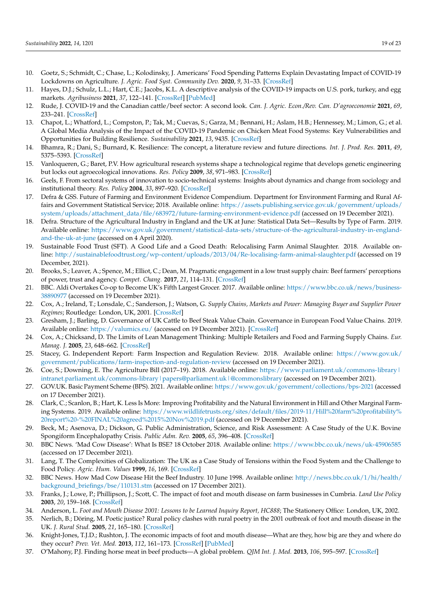- <span id="page-18-0"></span>10. Goetz, S.; Schmidt, C.; Chase, L.; Kolodinsky, J. Americans' Food Spending Patterns Explain Devastating Impact of COVID-19 Lockdowns on Agriculture. *J. Agric. Food Syst. Community Dev.* **2020**, *9*, 31–33. [\[CrossRef\]](http://doi.org/10.5304/jafscd.2020.093.033)
- <span id="page-18-3"></span>11. Hayes, D.J.; Schulz, L.L.; Hart, C.E.; Jacobs, K.L. A descriptive analysis of the COVID-19 impacts on U.S. pork, turkey, and egg markets. *Agribusiness* **2021**, *37*, 122–141. [\[CrossRef\]](http://doi.org/10.1002/agr.21674) [\[PubMed\]](http://www.ncbi.nlm.nih.gov/pubmed/33362337)
- <span id="page-18-1"></span>12. Rude, J. COVID-19 and the Canadian cattle/beef sector: A second look. *Can. J. Agric. Econ./Rev. Can. D'agroeconomie* **2021**, *69*, 233–241. [\[CrossRef\]](http://doi.org/10.1111/cjag.12277)
- <span id="page-18-2"></span>13. Chapot, L.; Whatford, L.; Compston, P.; Tak, M.; Cuevas, S.; Garza, M.; Bennani, H.; Aslam, H.B.; Hennessey, M.; Limon, G.; et al. A Global Media Analysis of the Impact of the COVID-19 Pandemic on Chicken Meat Food Systems: Key Vulnerabilities and Opportunities for Building Resilience. *Sustainability* **2021**, *13*, 9435. [\[CrossRef\]](http://doi.org/10.3390/su13169435)
- <span id="page-18-4"></span>14. Bhamra, R.; Dani, S.; Burnard, K. Resilience: The concept, a literature review and future directions. *Int. J. Prod. Res.* **2011**, *49*, 5375–5393. [\[CrossRef\]](http://doi.org/10.1080/00207543.2011.563826)
- <span id="page-18-5"></span>15. Vanloqueren, G.; Baret, P.V. How agricultural research systems shape a technological regime that develops genetic engineering but locks out agroecological innovations. *Res. Policy* **2009**, *38*, 971–983. [\[CrossRef\]](http://doi.org/10.1016/j.respol.2009.02.008)
- <span id="page-18-6"></span>16. Geels, F. From sectoral systems of innovation to socio-technical systems: Insights about dynamics and change from sociology and institutional theory. *Res. Policy* **2004**, *33*, 897–920. [\[CrossRef\]](http://doi.org/10.1016/j.respol.2004.01.015)
- <span id="page-18-7"></span>17. Defra & GSS. Future of Farming and Environment Evidence Compendium. Department for Environment Farming and Rural Affairs and Government Statistical Service; 2018. Available online: [https://assets.publishing.service.gov.uk/government/uploads/](https://assets.publishing.service.gov.uk/government/uploads/system/uploads/attachment_data/file/683972/future-farming-environment-evidence.pdf) [system/uploads/attachment\\_data/file/683972/future-farming-environment-evidence.pdf](https://assets.publishing.service.gov.uk/government/uploads/system/uploads/attachment_data/file/683972/future-farming-environment-evidence.pdf) (accessed on 19 December 2021).
- <span id="page-18-8"></span>18. Defra. Structure of the Agricultural Industry in England and the UK at June: Statistical Data Set—Results by Type of Farm. 2019. Available online: [https://www.gov.uk/government/statistical-data-sets/structure-of-the-agricultural-industry-in-england](https://www.gov.uk/government/statistical-data-sets/structure-of-the-agricultural-industry-in-england-and-the-uk-at-june)[and-the-uk-at-june](https://www.gov.uk/government/statistical-data-sets/structure-of-the-agricultural-industry-in-england-and-the-uk-at-june) (accessed on 4 April 2020).
- <span id="page-18-9"></span>19. Sustainable Food Trust (SFT). A Good Life and a Good Death: Relocalising Farm Animal Slaughter. 2018. Available online: <http://sustainablefoodtrust.org/wp-content/uploads/2013/04/Re-localising-farm-animal-slaughter.pdf> (accessed on 19 December, 2021).
- <span id="page-18-10"></span>20. Brooks, S.; Leaver, A.; Spence, M.; Elliot, C.; Dean, M. Pragmatic engagement in a low trust supply chain: Beef farmers' perceptions of power, trust and agency. *Compet. Chang.* **2017**, *21*, 114–131. [\[CrossRef\]](http://doi.org/10.1177/1024529417691053)
- <span id="page-18-11"></span>21. BBC. Aldi Overtakes Co-op to Become UK's Fifth Largest Grocer. 2017. Available online: [https://www.bbc.co.uk/news/business-](https://www.bbc.co.uk/news/business-38890977)[38890977](https://www.bbc.co.uk/news/business-38890977) (accessed on 19 December 2021).
- <span id="page-18-12"></span>22. Cox, A.; Ireland, T.; Lonsdale, C.; Sanderson, J.; Watson, G. *Supply Chains, Markets and Power: Managing Buyer and Supplier Power Regimes*; Routledge: London, UK, 2001. [\[CrossRef\]](http://doi.org/10.4324/9780203299272)
- <span id="page-18-27"></span>23. Gresham, J.; Barling, D. Governance of UK Cattle to Beef Steak Value Chain. Governance in European Food Value Chains. 2019. Available online: <https://valumics.eu/> (accessed on 19 December 2021). [\[CrossRef\]](http://doi.org/10.5281/ZENODO.5188542)
- <span id="page-18-13"></span>24. Cox, A.; Chicksand, D. The Limits of Lean Management Thinking: Multiple Retailers and Food and Farming Supply Chains. *Eur. Manag. J.* **2005**, *23*, 648–662. [\[CrossRef\]](http://doi.org/10.1016/j.emj.2005.10.010)
- <span id="page-18-14"></span>25. Stacey, G. Independent Report: Farm Inspection and Regulation Review. 2018. Available online: [https://www.gov.uk/](https://www.gov.uk/government/publications/farm-inspection-and-regulation-review) [government/publications/farm-inspection-and-regulation-review](https://www.gov.uk/government/publications/farm-inspection-and-regulation-review) (accessed on 19 December 2021).
- <span id="page-18-15"></span>26. Coe, S.; Downing, E. The Agriculture Bill (2017–19). 2018. Available online: [https://www.parliament.uk/commons-library|](https://www.parliament.uk/commons-library|intranet.parliament.uk/commons-library|papers@parliament.uk|@commonslibrary) intranet.parliament.uk/commons-library | papers@parliament.uk | @commonslibrary (accessed on 19 December 2021).
- <span id="page-18-16"></span>27. GOV.UK. Basic Payment Scheme (BPS). 2021. Available online: <https://www.gov.uk/government/collections/bps-2021> (accessed on 17 December 2021).
- <span id="page-18-17"></span>28. Clark, C.; Scanlon, B.; Hart, K. Less Is More: Improving Profitability and the Natural Environment in Hill and Other Marginal Farming Systems. 2019. Available online: [https://www.wildlifetrusts.org/sites/default/files/2019-11/Hill%20farm%20profitability%](https://www.wildlifetrusts.org/sites/default/files/2019-11/Hill%20farm%20profitability%20report%20-%20FINAL%20agreed%2015%20Nov%2019.pdf) [20report%20-%20FINAL%20agreed%2015%20Nov%2019.pdf](https://www.wildlifetrusts.org/sites/default/files/2019-11/Hill%20farm%20profitability%20report%20-%20FINAL%20agreed%2015%20Nov%2019.pdf) (accessed on 19 December 2021).
- <span id="page-18-18"></span>29. Beck, M.; Asenova, D.; Dickson, G. Public Administration, Science, and Risk Assessment: A Case Study of the U.K. Bovine Spongiform Encephalopathy Crisis. *Public Adm. Rev.* **2005**, *65*, 396–408. [\[CrossRef\]](http://doi.org/10.1111/j.1540-6210.2005.00467.x)
- <span id="page-18-19"></span>30. BBC News. 'Mad Cow Disease': What Is BSE? 18 October 2018. Available online: <https://www.bbc.co.uk/news/uk-45906585> (accessed on 17 December 2021).
- <span id="page-18-20"></span>31. Lang, T. The Complexities of Globalization: The UK as a Case Study of Tensions within the Food System and the Challenge to Food Policy. *Agric. Hum. Values* **1999**, *16*, 169. [\[CrossRef\]](http://doi.org/10.1023/A:1007542605470)
- <span id="page-18-21"></span>32. BBC News. How Mad Cow Disease Hit the Beef Industry. 10 June 1998. Available online: [http://news.bbc.co.uk/1/hi/health/](http://news.bbc.co.uk/1/hi/health/background_briefings/bse/110131.stm) [background\\_briefings/bse/110131.stm](http://news.bbc.co.uk/1/hi/health/background_briefings/bse/110131.stm) (accessed on 17 December 2021).
- <span id="page-18-22"></span>33. Franks, J.; Lowe, P.; Phillipson, J.; Scott, C. The impact of foot and mouth disease on farm businesses in Cumbria. *Land Use Policy* **2003**, *20*, 159–168. [\[CrossRef\]](http://doi.org/10.1016/S0264-8377(02)00080-7)
- <span id="page-18-23"></span>34. Anderson, L. *Foot and Mouth Disease 2001: Lessons to be Learned Inquiry Report, HC888*; The Stationery Office: London, UK, 2002.
- <span id="page-18-24"></span>35. Nerlich, B.; Döring, M. Poetic justice? Rural policy clashes with rural poetry in the 2001 outbreak of foot and mouth disease in the UK. *J. Rural Stud.* **2005**, *21*, 165–180. [\[CrossRef\]](http://doi.org/10.1016/j.jrurstud.2005.01.002)
- <span id="page-18-25"></span>36. Knight-Jones, T.J.D.; Rushton, J. The economic impacts of foot and mouth disease—What are they, how big are they and where do they occur? *Prev. Vet. Med.* **2013**, *112*, 161–173. [\[CrossRef\]](http://doi.org/10.1016/j.prevetmed.2013.07.013) [\[PubMed\]](http://www.ncbi.nlm.nih.gov/pubmed/23958457)
- <span id="page-18-26"></span>37. O'Mahony, P.J. Finding horse meat in beef products—A global problem. *QJM Int. J. Med.* **2013**, *106*, 595–597. [\[CrossRef\]](http://doi.org/10.1093/qjmed/hct087)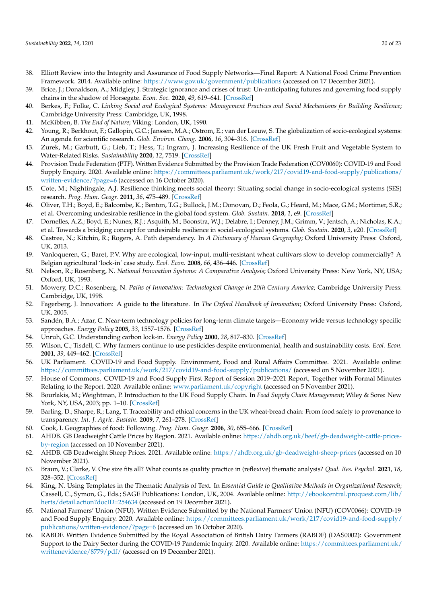- <span id="page-19-0"></span>38. Elliott Review into the Integrity and Assurance of Food Supply Networks—Final Report: A National Food Crime Prevention Framework. 2014. Available online: <https://www.gov.uk/government/publications> (accessed on 17 December 2021).
- <span id="page-19-1"></span>39. Brice, J.; Donaldson, A.; Midgley, J. Strategic ignorance and crises of trust: Un-anticipating futures and governing food supply chains in the shadow of Horsegate. *Econ. Soc.* **2020**, *49*, 619–641. [\[CrossRef\]](http://doi.org/10.1080/03085147.2020.1781387)
- <span id="page-19-2"></span>40. Berkes, F.; Folke, C. *Linking Social and Ecological Systems: Management Practices and Social Mechanisms for Building Resilience*; Cambridge University Press: Cambridge, UK, 1998.
- <span id="page-19-3"></span>41. McKibben, B. *The End of Nature*; Viking: London, UK, 1990.
- <span id="page-19-4"></span>42. Young, R.; Berkhout, F.; Gallopin, G.C.; Janssen, M.A.; Ostrom, E.; van der Leeuw, S. The globalization of socio-ecological systems: An agenda for scientific research. *Glob. Environ. Chang.* **2006**, *16*, 304–316. [\[CrossRef\]](http://doi.org/10.1016/j.gloenvcha.2006.03.004)
- <span id="page-19-5"></span>43. Zurek, M.; Garbutt, G.; Lieb, T.; Hess, T.; Ingram, J. Increasing Resilience of the UK Fresh Fruit and Vegetable System to Water-Related Risks. *Sustainability* **2020**, *12*, 7519. [\[CrossRef\]](http://doi.org/10.3390/su12187519)
- <span id="page-19-6"></span>44. Provision Trade Federation (PTF). Written Evidence Submitted by the Provision Trade Federation (COV0060): COVID-19 and Food Supply Enquiry. 2020. Available online: [https://committees.parliament.uk/work/217/covid19-and-food-supply/publications/](https://committees.parliament.uk/work/217/covid19-and-food-supply/publications/written-evidence/?page=6) [written-evidence/?page=6](https://committees.parliament.uk/work/217/covid19-and-food-supply/publications/written-evidence/?page=6) (accessed on 16 October 2020).
- <span id="page-19-7"></span>45. Cote, M.; Nightingale, A.J. Resilience thinking meets social theory: Situating social change in socio-ecological systems (SES) research. *Prog. Hum. Geogr.* **2011**, *36*, 475–489. [\[CrossRef\]](http://doi.org/10.1177/0309132511425708)
- <span id="page-19-8"></span>46. Oliver, T.H.; Boyd, E.; Balcombe, K.; Benton, T.G.; Bullock, J.M.; Donovan, D.; Feola, G.; Heard, M.; Mace, G.M.; Mortimer, S.R.; et al. Overcoming undesirable resilience in the global food system. *Glob. Sustain.* **2018**, *1*, e9. [\[CrossRef\]](http://doi.org/10.1017/sus.2018.9)
- <span id="page-19-9"></span>47. Dornelles, A.Z.; Boyd, E.; Nunes, R.J.; Asquith, M.; Boonstra, W.J.; Delabre, I.; Denney, J.M.; Grimm, V.; Jentsch, A.; Nicholas, K.A.; et al. Towards a bridging concept for undesirable resilience in social-ecological systems. *Glob. Sustain.* **2020**, *3*, e20. [\[CrossRef\]](http://doi.org/10.1017/sus.2020.15)
- <span id="page-19-10"></span>48. Castree, N.; Kitchin, R.; Rogers, A. Path dependency. In *A Dictionary of Human Geography*; Oxford University Press: Oxford, UK, 2013.
- <span id="page-19-11"></span>49. Vanloqueren, G.; Baret, P.V. Why are ecological, low-input, multi-resistant wheat cultivars slow to develop commercially? A Belgian agricultural 'lock-in' case study. *Ecol. Econ.* **2008**, *66*, 436–446. [\[CrossRef\]](http://doi.org/10.1016/j.ecolecon.2007.10.007)
- <span id="page-19-12"></span>50. Nelson, R.; Rosenberg, N. *National Innovation Systems: A Comparative Analysis*; Oxford University Press: New York, NY, USA; Oxford, UK, 1993.
- 51. Mowery, D.C.; Rosenberg, N. *Paths of Innovation: Technological Change in 20th Century America*; Cambridge University Press: Cambridge, UK, 1998.
- <span id="page-19-13"></span>52. Fagerberg, J. Innovation: A guide to the literature. In *The Oxford Handbook of Innovation*; Oxford University Press: Oxford, UK, 2005.
- <span id="page-19-14"></span>53. Sandén, B.A.; Azar, C. Near-term technology policies for long-term climate targets—Economy wide versus technology specific approaches. *Energy Policy* **2005**, *33*, 1557–1576. [\[CrossRef\]](http://doi.org/10.1016/j.enpol.2004.01.012)
- <span id="page-19-15"></span>54. Unruh, G.C. Understanding carbon lock-in. *Energy Policy* **2000**, *28*, 817–830. [\[CrossRef\]](http://doi.org/10.1016/S0301-4215(00)00070-7)
- <span id="page-19-16"></span>55. Wilson, C.; Tisdell, C. Why farmers continue to use pesticides despite environmental, health and sustainability costs. *Ecol. Econ.* **2001**, *39*, 449–462. [\[CrossRef\]](http://doi.org/10.1016/S0921-8009(01)00238-5)
- <span id="page-19-17"></span>56. UK Parliament. COVID-19 and Food Supply. Environment, Food and Rural Affairs Committee. 2021. Available online: <https://committees.parliament.uk/work/217/covid19-and-food-supply/publications/> (accessed on 5 November 2021).
- <span id="page-19-18"></span>57. House of Commons. COVID-19 and Food Supply First Report of Session 2019–2021 Report, Together with Formal Minutes Relating to the Report. 2020. Available online: <www.parliament.uk/copyright> (accessed on 5 November 2021).
- <span id="page-19-19"></span>58. Bourlakis, M.; Weightman, P. Introduction to the UK Food Supply Chain. In *Food Supply Chain Management*; Wiley & Sons: New York, NY, USA, 2003; pp. 1–10. [\[CrossRef\]](http://doi.org/10.1002/9780470995556.ch1)
- <span id="page-19-20"></span>59. Barling, D.; Sharpe, R.; Lang, T. Traceability and ethical concerns in the UK wheat-bread chain: From food safety to provenance to transparency. *Int. J. Agric. Sustain.* **2009**, *7*, 261–278. [\[CrossRef\]](http://doi.org/10.3763/ijas.2009.0331)
- <span id="page-19-21"></span>60. Cook, I. Geographies of food: Following. *Prog. Hum. Geogr.* **2006**, *30*, 655–666. [\[CrossRef\]](http://doi.org/10.1177/0309132506070183)
- <span id="page-19-22"></span>61. AHDB. GB Deadweight Cattle Prices by Region. 2021. Available online: [https://ahdb.org.uk/beef/gb-deadweight-cattle-prices](https://ahdb.org.uk/beef/gb-deadweight-cattle-prices-by-region)[by-region](https://ahdb.org.uk/beef/gb-deadweight-cattle-prices-by-region) (accessed on 10 November 2021).
- <span id="page-19-23"></span>62. AHDB. GB Deadweight Sheep Prices. 2021. Available online: <https://ahdb.org.uk/gb-deadweight-sheep-prices> (accessed on 10 November 2021).
- <span id="page-19-24"></span>63. Braun, V.; Clarke, V. One size fits all? What counts as quality practice in (reflexive) thematic analysis? *Qual. Res. Psychol.* **2021**, *18*, 328–352. [\[CrossRef\]](http://doi.org/10.1080/14780887.2020.1769238)
- <span id="page-19-25"></span>64. King, N. Using Templates in the Thematic Analysis of Text. In *Essential Guide to Qualitative Methods in Organizational Research*; Cassell, C., Symon, G., Eds.; SAGE Publications: London, UK, 2004. Available online: [http://ebookcentral.proquest.com/lib/](http://ebookcentral.proquest.com/lib/herts/detail.action?docID=254634) [herts/detail.action?docID=254634](http://ebookcentral.proquest.com/lib/herts/detail.action?docID=254634) (accessed on 19 December 2021).
- <span id="page-19-26"></span>65. National Farmers' Union (NFU). Written Evidence Submitted by the National Farmers' Union (NFU) (COV0066): COVID-19 and Food Supply Enquiry. 2020. Available online: [https://committees.parliament.uk/work/217/covid19-and-food-supply/](https://committees.parliament.uk/work/217/covid19-and-food-supply/publications/written-evidence/?page=6) [publications/written-evidence/?page=6](https://committees.parliament.uk/work/217/covid19-and-food-supply/publications/written-evidence/?page=6) (accessed on 16 October 2020).
- <span id="page-19-27"></span>66. RABDF. Written Evidence Submitted by the Royal Association of British Dairy Farmers (RABDF) (DAS0002): Government Support to the Dairy Sector during the COVID-19 Pandemic Inquiry. 2020. Available online: [https://committees.parliament.uk/](https://committees.parliament.uk/writtenevidence/8779/pdf/) [writtenevidence/8779/pdf/](https://committees.parliament.uk/writtenevidence/8779/pdf/) (accessed on 19 December 2021).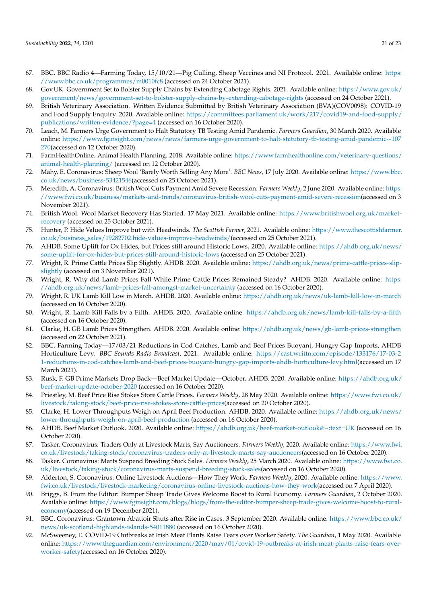- <span id="page-20-0"></span>67. BBC. BBC Radio 4—Farming Today, 15/10/21—Pig Culling, Sheep Vaccines and NI Protocol. 2021. Available online: [https:](https://www.bbc.co.uk/programmes/m0010fc8) [//www.bbc.co.uk/programmes/m0010fc8](https://www.bbc.co.uk/programmes/m0010fc8) (accessed on 24 October 2021).
- <span id="page-20-1"></span>68. Gov.UK. Government Set to Bolster Supply Chains by Extending Cabotage Rights. 2021. Available online: [https://www.gov.uk/](https://www.gov.uk/government/news/government-set-to-bolster-supply-chains-by-extending-cabotage-rights) [government/news/government-set-to-bolster-supply-chains-by-extending-cabotage-rights](https://www.gov.uk/government/news/government-set-to-bolster-supply-chains-by-extending-cabotage-rights) (accessed on 24 October 2021).
- <span id="page-20-2"></span>69. British Veterinary Association. Written Evidence Submitted by British Veterinary Association (BVA)(COV0098): COVID-19 and Food Supply Enquiry. 2020. Available online: [https://committees.parliament.uk/work/217/covid19-and-food-supply/](https://committees.parliament.uk/work/217/covid19-and-food-supply/publications/written-evidence/?page=4) [publications/written-evidence/?page=4](https://committees.parliament.uk/work/217/covid19-and-food-supply/publications/written-evidence/?page=4) (accessed on 16 October 2020).
- <span id="page-20-3"></span>70. Leach, M. Farmers Urge Government to Halt Statutory TB Testing Amid Pandemic. *Farmers Guardian*, 30 March 2020. Available online: [https://www.fginsight.com/news/news/farmers-urge-government-to-halt-statutory-tb-testing-amid-pandemic--107](https://www.fginsight.com/news/news/farmers-urge-government-to-halt-statutory-tb-testing-amid-pandemic--107270) [270\(](https://www.fginsight.com/news/news/farmers-urge-government-to-halt-statutory-tb-testing-amid-pandemic--107270)accessed on 12 October 2020).
- <span id="page-20-4"></span>71. FarmHealthOnline. Animal Health Planning. 2018. Available online: [https://www.farmhealthonline.com/veterinary-questions/](https://www.farmhealthonline.com/veterinary-questions/animal-health-planning/) [animal-health-planning/](https://www.farmhealthonline.com/veterinary-questions/animal-health-planning/) (accessed on 12 October 2020).
- <span id="page-20-5"></span>72. Mahy, E. Coronavirus: Sheep Wool 'Barely Worth Selling Any More'. *BBC News*, 17 July 2020. Available online: [https://www.bbc.](https://www.bbc.co.uk/news/business-53421546) [co.uk/news/business-53421546\(](https://www.bbc.co.uk/news/business-53421546)accessed on 25 October 2021).
- <span id="page-20-6"></span>73. Meredith, A. Coronavirus: British Wool Cuts Payment Amid Severe Recession. *Farmers Weekly*, 2 June 2020. Available online: [https:](https://www.fwi.co.uk/business/markets-and-trends/coronavirus-british-wool-cuts-payment-amid-severe-recession) [//www.fwi.co.uk/business/markets-and-trends/coronavirus-british-wool-cuts-payment-amid-severe-recession\(](https://www.fwi.co.uk/business/markets-and-trends/coronavirus-british-wool-cuts-payment-amid-severe-recession)accessed on 3 November 2021).
- <span id="page-20-7"></span>74. British Wool. Wool Market Recovery Has Started. 17 May 2021. Available online: [https://www.britishwool.org.uk/market](https://www.britishwool.org.uk/market-recovery)[recovery](https://www.britishwool.org.uk/market-recovery) (accessed on 25 October 2021).
- <span id="page-20-8"></span>75. Hunter, P. Hide Values Improve but with Headwinds. *The Scottish Farmer*, 2021. Available online: [https://www.thescottishfarmer.](https://www.thescottishfarmer.co.uk/business_sales/19282702.hide-values-improve-headwinds/) [co.uk/business\\_sales/19282702.hide-values-improve-headwinds/\(](https://www.thescottishfarmer.co.uk/business_sales/19282702.hide-values-improve-headwinds/)accessed on 25 October 2021).
- <span id="page-20-9"></span>76. AHDB. Some Uplift for Ox Hides, but Prices still around Historic Lows. 2020. Available online: [https://ahdb.org.uk/news/](https://ahdb.org.uk/news/some-uplift-for-ox-hides-but-prices-still-around-historic-lows) [some-uplift-for-ox-hides-but-prices-still-around-historic-lows](https://ahdb.org.uk/news/some-uplift-for-ox-hides-but-prices-still-around-historic-lows) (accessed on 25 October 2021).
- <span id="page-20-10"></span>77. Wright, R. Prime Cattle Prices Slip Slightly. AHDB. 2020. Available online: [https://ahdb.org.uk/news/prime-cattle-prices-slip](https://ahdb.org.uk/news/prime-cattle-prices-slip-slightly)[slightly](https://ahdb.org.uk/news/prime-cattle-prices-slip-slightly) (accessed on 3 November 2021).
- <span id="page-20-11"></span>78. Wright, R. Why did Lamb Prices Fall While Prime Cattle Prices Remained Steady? AHDB. 2020. Available online: [https:](https://ahdb.org.uk/news/lamb-prices-fall-amongst-market-uncertainty) [//ahdb.org.uk/news/lamb-prices-fall-amongst-market-uncertainty](https://ahdb.org.uk/news/lamb-prices-fall-amongst-market-uncertainty) (accessed on 16 October 2020).
- <span id="page-20-12"></span>79. Wright, R. UK Lamb Kill Low in March. AHDB. 2020. Available online: <https://ahdb.org.uk/news/uk-lamb-kill-low-in-march> (accessed on 16 October 2020).
- <span id="page-20-13"></span>80. Wright, R. Lamb Kill Falls by a Fifth. AHDB. 2020. Available online: <https://ahdb.org.uk/news/lamb-kill-falls-by-a-fifth> (accessed on 16 October 2020).
- <span id="page-20-14"></span>81. Clarke, H. GB Lamb Prices Strengthen. AHDB. 2020. Available online: <https://ahdb.org.uk/news/gb-lamb-prices-strengthen> (accessed on 22 October 2021).
- <span id="page-20-15"></span>82. BBC. Farming Today—17/03/21 Reductions in Cod Catches, Lamb and Beef Prices Buoyant, Hungry Gap Imports, AHDB Horticulture Levy. *BBC Sounds Radio Broadcast*, 2021. Available online: [https://cast.writtn.com/episode/133176/17-03-2](https://cast.writtn.com/episode/133176/17-03-21-reductions-in-cod-catches-lamb-and-beef-prices-buoyant-hungry-gap-imports-ahdb-horticulture-levy.html) [1-reductions-in-cod-catches-lamb-and-beef-prices-buoyant-hungry-gap-imports-ahdb-horticulture-levy.html\(](https://cast.writtn.com/episode/133176/17-03-21-reductions-in-cod-catches-lamb-and-beef-prices-buoyant-hungry-gap-imports-ahdb-horticulture-levy.html)accessed on 17 March 2021).
- <span id="page-20-16"></span>83. Rusk, F. GB Prime Markets Drop Back—Beef Market Update—October. AHDB. 2020. Available online: [https://ahdb.org.uk/](https://ahdb.org.uk/beef-market-update-october-2020) [beef-market-update-october-2020](https://ahdb.org.uk/beef-market-update-october-2020) (accessed on 16 October 2020).
- <span id="page-20-17"></span>84. Priestley, M. Beef Price Rise Stokes Store Cattle Prices. *Farmers Weekly*, 28 May 2020. Available online: [https://www.fwi.co.uk/](https://www.fwi.co.uk/livestock/taking-stock/beef-price-rise-stokes-store-cattle-prices) [livestock/taking-stock/beef-price-rise-stokes-store-cattle-prices\(](https://www.fwi.co.uk/livestock/taking-stock/beef-price-rise-stokes-store-cattle-prices)accessed on 20 October 2020).
- <span id="page-20-18"></span>85. Clarke, H. Lower Throughputs Weigh on April Beef Production. AHDB. 2020. Available online: [https://ahdb.org.uk/news/](https://ahdb.org.uk/news/lower-throughputs-weigh-on-april-beef-production) [lower-throughputs-weigh-on-april-beef-production](https://ahdb.org.uk/news/lower-throughputs-weigh-on-april-beef-production) (accessed on 16 October 2020).
- <span id="page-20-19"></span>86. AHDB. Beef Market Outlook. 2020. Available online: <https://ahdb.org.uk/beef-market-outlook#:~:text=UK> (accessed on 16 October 2020).
- <span id="page-20-20"></span>87. Tasker. Coronavirus: Traders Only at Livestock Marts, Say Auctioneers. *Farmers Weekly*, 2020. Available online: [https://www.fwi.](https://www.fwi.co.uk/livestock/taking-stock/coronavirus-traders-only-at-livestock-marts-say-auctioneers) [co.uk/livestock/taking-stock/coronavirus-traders-only-at-livestock-marts-say-auctioneers\(](https://www.fwi.co.uk/livestock/taking-stock/coronavirus-traders-only-at-livestock-marts-say-auctioneers)accessed on 16 October 2020).
- <span id="page-20-21"></span>88. Tasker. Coronavirus: Marts Suspend Breeding Stock Sales. *Farmers Weekly*, 25 March 2020. Available online: [https://www.fwi.co.](https://www.fwi.co.uk/livestock/taking-stock/coronavirus-marts-suspend-breeding-stock-sales) [uk/livestock/taking-stock/coronavirus-marts-suspend-breeding-stock-sales\(](https://www.fwi.co.uk/livestock/taking-stock/coronavirus-marts-suspend-breeding-stock-sales)accessed on 16 October 2020).
- <span id="page-20-22"></span>89. Alderton, S. Coronavirus: Online Livestock Auctions—How They Work. *Farmers Weekly*, 2020. Available online: [https://www.](https://www.fwi.co.uk/livestock/livestock-marketing/coronavirus-online-livestock-auctions-how-they-work) [fwi.co.uk/livestock/livestock-marketing/coronavirus-online-livestock-auctions-how-they-work\(](https://www.fwi.co.uk/livestock/livestock-marketing/coronavirus-online-livestock-auctions-how-they-work)accessed on 7 April 2020).
- <span id="page-20-23"></span>90. Briggs, B. From the Editor: Bumper Sheep Trade Gives Welcome Boost to Rural Economy. *Farmers Guardian*, 2 October 2020. Available online: [https://www.fginsight.com/blogs/blogs/from-the-editor-bumper-sheep-trade-gives-welcome-boost-to-rural](https://www.fginsight.com/blogs/blogs/from-the-editor-bumper-sheep-trade-gives-welcome-boost-to-rural-economy)[economy\(](https://www.fginsight.com/blogs/blogs/from-the-editor-bumper-sheep-trade-gives-welcome-boost-to-rural-economy)accessed on 19 December 2021).
- <span id="page-20-24"></span>91. BBC. Coronavirus: Grantown Abattoir Shuts after Rise in Cases. 3 September 2020. Available online: [https://www.bbc.co.uk/](https://www.bbc.co.uk/news/uk-scotland-highlands-islands-54011880) [news/uk-scotland-highlands-islands-54011880](https://www.bbc.co.uk/news/uk-scotland-highlands-islands-54011880) (accessed on 16 October 2020).
- <span id="page-20-25"></span>92. McSweeney, E. COVID-19 Outbreaks at Irish Meat Plants Raise Fears over Worker Safety. *The Guardian*, 1 May 2020. Available online: [https://www.theguardian.com/environment/2020/may/01/covid-19-outbreaks-at-irish-meat-plants-raise-fears-over](https://www.theguardian.com/environment/2020/may/01/covid-19-outbreaks-at-irish-meat-plants-raise-fears-over-worker-safety)[worker-safety\(](https://www.theguardian.com/environment/2020/may/01/covid-19-outbreaks-at-irish-meat-plants-raise-fears-over-worker-safety)accessed on 16 October 2020).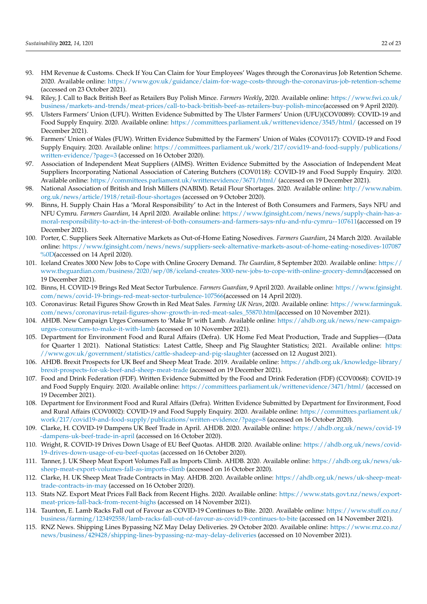- <span id="page-21-0"></span>93. HM Revenue & Customs. Check If You Can Claim for Your Employees' Wages through the Coronavirus Job Retention Scheme. 2020. Available online: <https://www.gov.uk/guidance/claim-for-wage-costs-through-the-coronavirus-job-retention-scheme> (accessed on 23 October 2021).
- <span id="page-21-1"></span>94. Riley, J. Call to Back British Beef as Retailers Buy Polish Mince. *Farmers Weekly*, 2020. Available online: [https://www.fwi.co.uk/](https://www.fwi.co.uk/business/markets-and-trends/meat-prices/call-to-back-british-beef-as-retailers-buy-polish-mince) [business/markets-and-trends/meat-prices/call-to-back-british-beef-as-retailers-buy-polish-mince\(](https://www.fwi.co.uk/business/markets-and-trends/meat-prices/call-to-back-british-beef-as-retailers-buy-polish-mince)accessed on 9 April 2020).
- <span id="page-21-2"></span>95. Ulsters Farmers' Union (UFU). Written Evidence Submitted by The Ulster Farmers' Union (UFU)(COV0089): COVID-19 and Food Supply Enquiry. 2020. Available online: <https://committees.parliament.uk/writtenevidence/3545/html/> (accessed on 19 December 2021).
- <span id="page-21-3"></span>96. Farmers' Union of Wales (FUW). Written Evidence Submitted by the Farmers' Union of Wales (COV0117): COVID-19 and Food Supply Enquiry. 2020. Available online: [https://committees.parliament.uk/work/217/covid19-and-food-supply/publications/](https://committees.parliament.uk/work/217/covid19-and-food-supply/publications/written-evidence/?page=3) [written-evidence/?page=3](https://committees.parliament.uk/work/217/covid19-and-food-supply/publications/written-evidence/?page=3) (accessed on 16 October 2020).
- <span id="page-21-4"></span>97. Association of Independent Meat Suppliers (AIMS). Written Evidence Submitted by the Association of Independent Meat Suppliers Incorporating National Association of Catering Butchers (COV0118): COVID-19 and Food Supply Enquiry. 2020. Available online: <https://committees.parliament.uk/writtenevidence/3671/html/> (accessed on 19 December 2021).
- <span id="page-21-5"></span>98. National Association of British and Irish Millers (NABIM). Retail Flour Shortages. 2020. Available online: [http://www.nabim.](http://www.nabim.org.uk/news/article/1918/retail-flour-shortages) [org.uk/news/article/1918/retail-flour-shortages](http://www.nabim.org.uk/news/article/1918/retail-flour-shortages) (accessed on 9 October 2020).
- <span id="page-21-6"></span>99. Binns, H. Supply Chain Has a 'Moral Responsibility' to Act in the Interest of Both Consumers and Farmers, Says NFU and NFU Cymru. *Farmers Guardian*, 14 April 2020. Available online: [https://www.fginsight.com/news/news/supply-chain-has-a](https://www.fginsight.com/news/news/supply-chain-has-a-moral-responsibility-to-act-in-the-interest-of-both-consumers-and-farmers-says-nfu-and-nfu-cymru--107611)[moral-responsibility-to-act-in-the-interest-of-both-consumers-and-farmers-says-nfu-and-nfu-cymru--107611\(](https://www.fginsight.com/news/news/supply-chain-has-a-moral-responsibility-to-act-in-the-interest-of-both-consumers-and-farmers-says-nfu-and-nfu-cymru--107611)accessed on 19 December 2021).
- <span id="page-21-7"></span>100. Porter, C. Suppliers Seek Alternative Markets as Out-of-Home Eating Nosedives. *Farmers Guardian*, 24 March 2020. Available online: [https://www.fginsight.com/news/news/suppliers-seek-alternative-markets-asout-of-home-eating-nosedives-107087](https://www.fginsight.com/news/news/suppliers-seek-alternative-markets-asout-of-home-eating-nosedives-107087%0D) [%0D\(](https://www.fginsight.com/news/news/suppliers-seek-alternative-markets-asout-of-home-eating-nosedives-107087%0D)accessed on 14 April 2020).
- <span id="page-21-8"></span>101. Iceland Creates 3000 New Jobs to Cope with Online Grocery Demand. *The Guardian*, 8 September 2020. Available online: [https://](https://www.theguardian.com/business/2020/sep/08/iceland-creates-3000-new-jobs-to-cope-with-online-grocery-demnd) [www.theguardian.com/business/2020/sep/08/iceland-creates-3000-new-jobs-to-cope-with-online-grocery-demnd\(](https://www.theguardian.com/business/2020/sep/08/iceland-creates-3000-new-jobs-to-cope-with-online-grocery-demnd)accessed on 19 December 2021).
- <span id="page-21-9"></span>102. Binns, H. COVID-19 Brings Red Meat Sector Turbulence. *Farmers Guardian*, 9 April 2020. Available online: [https://www.fginsight.](https://www.fginsight.com/news/covid-19-brings-red-meat-sector-turbulence-107566) [com/news/covid-19-brings-red-meat-sector-turbulence-107566\(](https://www.fginsight.com/news/covid-19-brings-red-meat-sector-turbulence-107566)accessed on 14 April 2020).
- <span id="page-21-10"></span>103. Coronavirus: Retail Figures Show Growth in Red Meat Sales. *Farming UK News*, 2020. Available online: [https://www.farminguk.](https://www.farminguk.com/news/coronavirus-retail-figures-show-growth-in-red-meat-sales_55870.html) [com/news/coronavirus-retail-figures-show-growth-in-red-meat-sales\\_55870.html\(](https://www.farminguk.com/news/coronavirus-retail-figures-show-growth-in-red-meat-sales_55870.html)accessed on 10 November 2021).
- <span id="page-21-11"></span>104. AHDB. New Campaign Urges Consumers to 'Make It' with Lamb. Available online: [https://ahdb.org.uk/news/new-campaign](https://ahdb.org.uk/news/new-campaign-urges-consumers-to-make-it-with-lamb)[urges-consumers-to-make-it-with-lamb](https://ahdb.org.uk/news/new-campaign-urges-consumers-to-make-it-with-lamb) (accessed on 10 November 2021).
- <span id="page-21-12"></span>105. Department for Environment Food and Rural Affairs (Defra). UK Home Fed Meat Production, Trade and Supplies—(Data for Quarter 1 2021). National Statistics: Latest Cattle, Sheep and Pig Slaughter Statistics; 2021. Available online: [https:](https://www.gov.uk/government/statistics/cattle-shadeep-and-pig-slaughter) [//www.gov.uk/government/statistics/cattle-shadeep-and-pig-slaughter](https://www.gov.uk/government/statistics/cattle-shadeep-and-pig-slaughter) (accessed on 12 August 2021).
- <span id="page-21-13"></span>106. AHDB. Brexit Prospects for UK Beef and Sheep Meat Trade. 2019. Available online: [https://ahdb.org.uk/knowledge-library/](https://ahdb.org.uk/knowledge-library/brexit-prospects-for-uk-beef-and-sheep-meat-trade) [brexit-prospects-for-uk-beef-and-sheep-meat-trade](https://ahdb.org.uk/knowledge-library/brexit-prospects-for-uk-beef-and-sheep-meat-trade) (accessed on 19 December 2021).
- <span id="page-21-14"></span>107. Food and Drink Federation (FDF). Written Evidence Submitted by the Food and Drink Federation (FDF) (COV0068): COVID-19 and Food Supply Enquiry. 2020. Available online: <https://committees.parliament.uk/writtenevidence/3471/html/> (accessed on 19 December 2021).
- <span id="page-21-15"></span>108. Department for Environment Food and Rural Affairs (Defra). Written Evidence Submitted by Department for Environment, Food and Rural Affairs (COV0002): COVID-19 and Food Supply Enquiry. 2020. Available online: [https://committees.parliament.uk/](https://committees.parliament.uk/work/217/covid19-and-food-supply/publications/written-evidence/?page=8) [work/217/covid19-and-food-supply/publications/written-evidence/?page=8](https://committees.parliament.uk/work/217/covid19-and-food-supply/publications/written-evidence/?page=8) (accessed on 16 October 2020).
- <span id="page-21-16"></span>109. Clarke, H. COVID-19 Dampens UK Beef Trade in April. AHDB. 2020. Available online: [https://ahdb.org.uk/news/covid-19](https://ahdb.org.uk/news/covid-19-dampens-uk-beef-trade-in-april) [-dampens-uk-beef-trade-in-april](https://ahdb.org.uk/news/covid-19-dampens-uk-beef-trade-in-april) (accessed on 16 October 2020).
- <span id="page-21-17"></span>110. Wright, R. COVID-19 Drives Down Usage of EU Beef Quotas. AHDB. 2020. Available online: [https://ahdb.org.uk/news/covid-](https://ahdb.org.uk/news/covid-19-drives-down-usage-of-eu-beef-quotas)[19-drives-down-usage-of-eu-beef-quotas](https://ahdb.org.uk/news/covid-19-drives-down-usage-of-eu-beef-quotas) (accessed on 16 October 2020).
- <span id="page-21-18"></span>111. Tanner, J. UK Sheep Meat Export Volumes Fall as Imports Climb. AHDB. 2020. Available online: [https://ahdb.org.uk/news/uk](https://ahdb.org.uk/news/uk-sheep-meat-export-volumes-fall-as-imports-climb)[sheep-meat-export-volumes-fall-as-imports-climb](https://ahdb.org.uk/news/uk-sheep-meat-export-volumes-fall-as-imports-climb) (accessed on 16 October 2020).
- <span id="page-21-19"></span>112. Clarke, H. UK Sheep Meat Trade Contracts in May. AHDB. 2020. Available online: [https://ahdb.org.uk/news/uk-sheep-meat](https://ahdb.org.uk/news/uk-sheep-meat-trade-contracts-in-may)[trade-contracts-in-may](https://ahdb.org.uk/news/uk-sheep-meat-trade-contracts-in-may) (accessed on 16 October 2020).
- <span id="page-21-20"></span>113. Stats NZ. Export Meat Prices Fall Back from Recent Highs. 2020. Available online: [https://www.stats.govt.nz/news/export](https://www.stats.govt.nz/news/export-meat-prices-fall-back-from-recent-highs)[meat-prices-fall-back-from-recent-highs](https://www.stats.govt.nz/news/export-meat-prices-fall-back-from-recent-highs) (accessed on 14 November 2021).
- <span id="page-21-21"></span>114. Taunton, E. Lamb Racks Fall out of Favour as COVID-19 Continues to Bite. 2020. Available online: [https://www.stuff.co.nz/](https://www.stuff.co.nz/business/farming/123492558/lamb-racks-fall-out-of-favour-as-covid19-continues-to-bite) [business/farming/123492558/lamb-racks-fall-out-of-favour-as-covid19-continues-to-bite](https://www.stuff.co.nz/business/farming/123492558/lamb-racks-fall-out-of-favour-as-covid19-continues-to-bite) (accessed on 14 November 2021).
- <span id="page-21-22"></span>115. RNZ News. Shipping Lines Bypassing NZ May Delay Deliveries. 29 October 2020. Available online: [https://www.rnz.co.nz/](https://www.rnz.co.nz/news/business/429428/shipping-lines-bypassing-nz-may-delay-deliveries) [news/business/429428/shipping-lines-bypassing-nz-may-delay-deliveries](https://www.rnz.co.nz/news/business/429428/shipping-lines-bypassing-nz-may-delay-deliveries) (accessed on 10 November 2021).